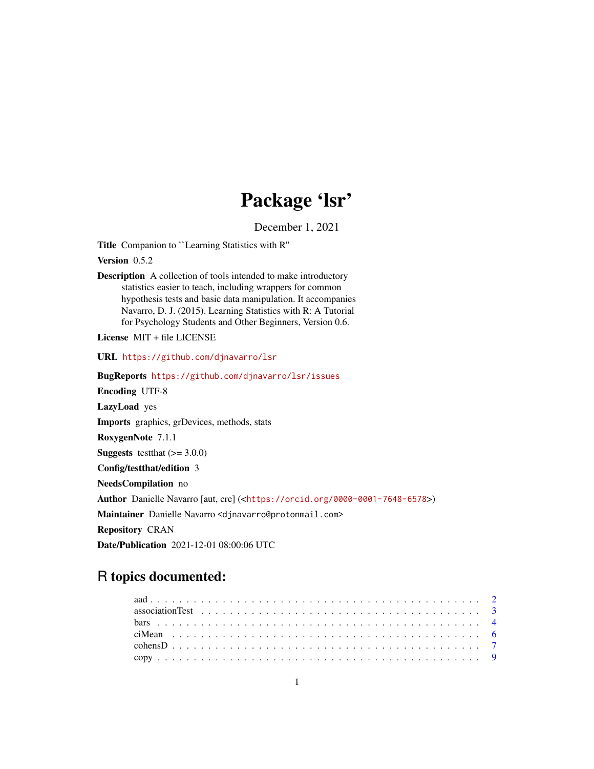# Package 'lsr'

December 1, 2021

<span id="page-0-0"></span>Title Companion to ``Learning Statistics with R''

Version 0.5.2

Description A collection of tools intended to make introductory statistics easier to teach, including wrappers for common hypothesis tests and basic data manipulation. It accompanies Navarro, D. J. (2015). Learning Statistics with R: A Tutorial for Psychology Students and Other Beginners, Version 0.6.

License MIT + file LICENSE

URL <https://github.com/djnavarro/lsr>

BugReports <https://github.com/djnavarro/lsr/issues> Encoding UTF-8 LazyLoad yes Imports graphics, grDevices, methods, stats RoxygenNote 7.1.1 **Suggests** testthat  $(>= 3.0.0)$ Config/testthat/edition 3 NeedsCompilation no Author Danielle Navarro [aut, cre] (<<https://orcid.org/0000-0001-7648-6578>>) Maintainer Danielle Navarro <djnavarro@protonmail.com> Repository CRAN Date/Publication 2021-12-01 08:00:06 UTC

# R topics documented:

| association Test $\ldots \ldots \ldots \ldots \ldots \ldots \ldots \ldots \ldots \ldots \ldots \ldots \ldots$ |  |
|---------------------------------------------------------------------------------------------------------------|--|
|                                                                                                               |  |
|                                                                                                               |  |
|                                                                                                               |  |
|                                                                                                               |  |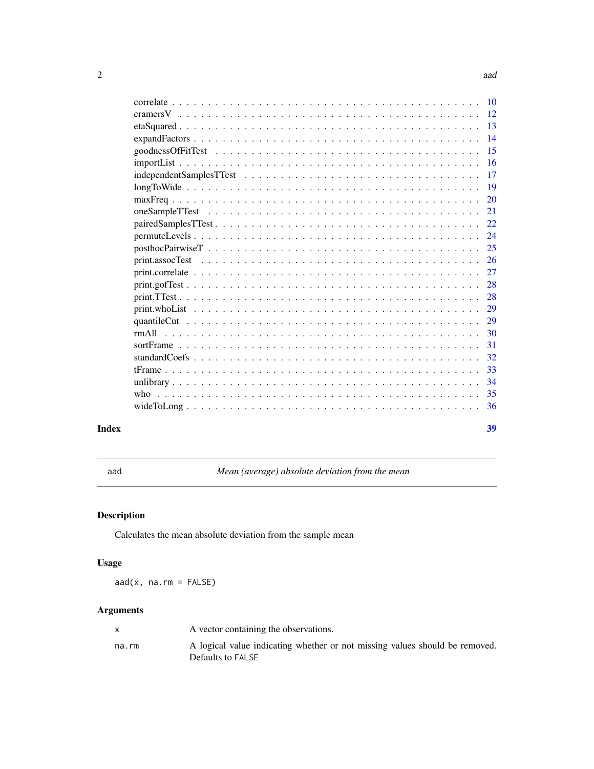<span id="page-1-0"></span>

|                                                                                                             | 12  |
|-------------------------------------------------------------------------------------------------------------|-----|
|                                                                                                             | 13  |
|                                                                                                             | 14  |
|                                                                                                             | 15  |
|                                                                                                             | 16  |
|                                                                                                             | 17  |
|                                                                                                             | 19  |
|                                                                                                             | 20  |
|                                                                                                             | 21  |
|                                                                                                             | 22  |
| $permute Levels \ldots \ldots \ldots \ldots \ldots \ldots \ldots \ldots \ldots \ldots \ldots \ldots \ldots$ | 24  |
|                                                                                                             | 25  |
|                                                                                                             | 26  |
|                                                                                                             | 27  |
|                                                                                                             | 28  |
|                                                                                                             | 28  |
|                                                                                                             | 29  |
|                                                                                                             | 29  |
|                                                                                                             | 30  |
|                                                                                                             | 31  |
|                                                                                                             | 32  |
|                                                                                                             | 33  |
|                                                                                                             | 34  |
|                                                                                                             | 35  |
|                                                                                                             | -36 |
|                                                                                                             |     |

#### **Index** [39](#page-38-0)

aad *Mean (average) absolute deviation from the mean*

# Description

Calculates the mean absolute deviation from the sample mean

# Usage

 $aad(x, na.rm = FALSE)$ 

# Arguments

|       | A vector containing the observations.                                                            |
|-------|--------------------------------------------------------------------------------------------------|
| na.rm | A logical value indicating whether or not missing values should be removed.<br>Defaults to FALSE |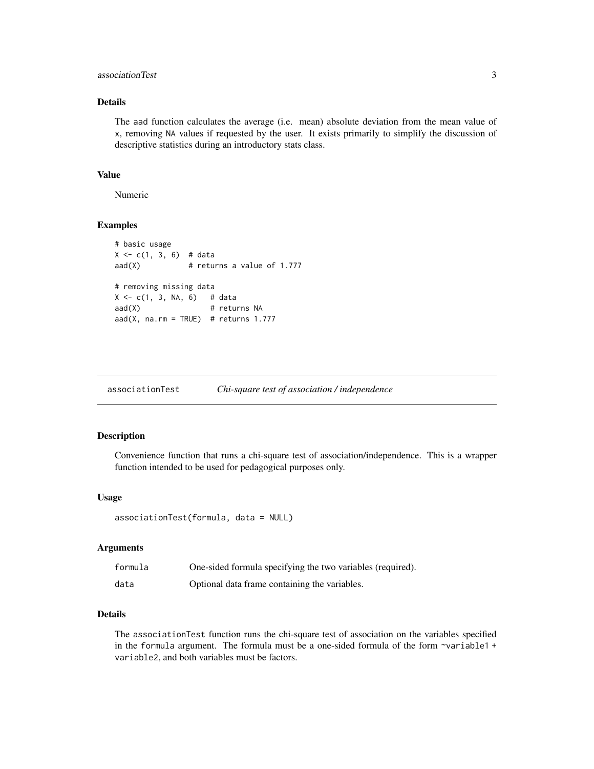# <span id="page-2-0"></span>associationTest 3

# Details

The aad function calculates the average (i.e. mean) absolute deviation from the mean value of x, removing NA values if requested by the user. It exists primarily to simplify the discussion of descriptive statistics during an introductory stats class.

### Value

Numeric

# Examples

```
# basic usage
X \leftarrow c(1, 3, 6) # data
aad(X) # returns a value of 1.777
# removing missing data
X \leq -c(1, 3, NA, 6) # data
aad(X) # returns NA
aad(X, na.rm = TRUE) # returns 1.777
```
<span id="page-2-1"></span>

| associationTest |  | Chi-square test of association / independence |  |
|-----------------|--|-----------------------------------------------|--|
|-----------------|--|-----------------------------------------------|--|

#### Description

Convenience function that runs a chi-square test of association/independence. This is a wrapper function intended to be used for pedagogical purposes only.

## Usage

```
associationTest(formula, data = NULL)
```
#### Arguments

| formula | One-sided formula specifying the two variables (required). |
|---------|------------------------------------------------------------|
| data    | Optional data frame containing the variables.              |

# Details

The associationTest function runs the chi-square test of association on the variables specified in the formula argument. The formula must be a one-sided formula of the form ~variable1 + variable2, and both variables must be factors.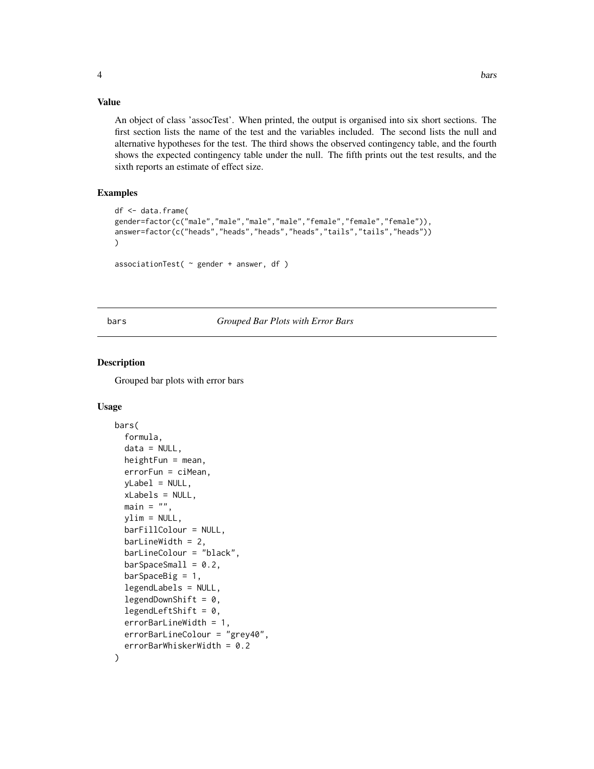# <span id="page-3-0"></span>Value

An object of class 'assocTest'. When printed, the output is organised into six short sections. The first section lists the name of the test and the variables included. The second lists the null and alternative hypotheses for the test. The third shows the observed contingency table, and the fourth shows the expected contingency table under the null. The fifth prints out the test results, and the sixth reports an estimate of effect size.

# Examples

```
df <- data.frame(
gender=factor(c("male","male","male","male","female","female","female")),
answer=factor(c("heads","heads","heads","heads","tails","tails","heads"))
)
```

```
associationTest(\sim gender + answer, df)
```
# bars *Grouped Bar Plots with Error Bars*

# Description

Grouped bar plots with error bars

#### Usage

```
bars(
  formula,
  data = NULL,heightFun = mean,errorFun = ciMean,
  yLabel = NULL,
  xLabels = NULL,
 main = "",ylim = NULL,
  barFillColour = NULL,
  barLineWidth = 2,
  barLineColour = "black",
  barSpaceSmall = 0.2,
  barSpecBig = 1,
  legendLabels = NULL,
  legendDownShift = 0,
  legendLeftShift = 0,
  errorBarLineWidth = 1,
  errorBarLineColour = "grey40",
  errorBarWhiskerWidth = 0.2
)
```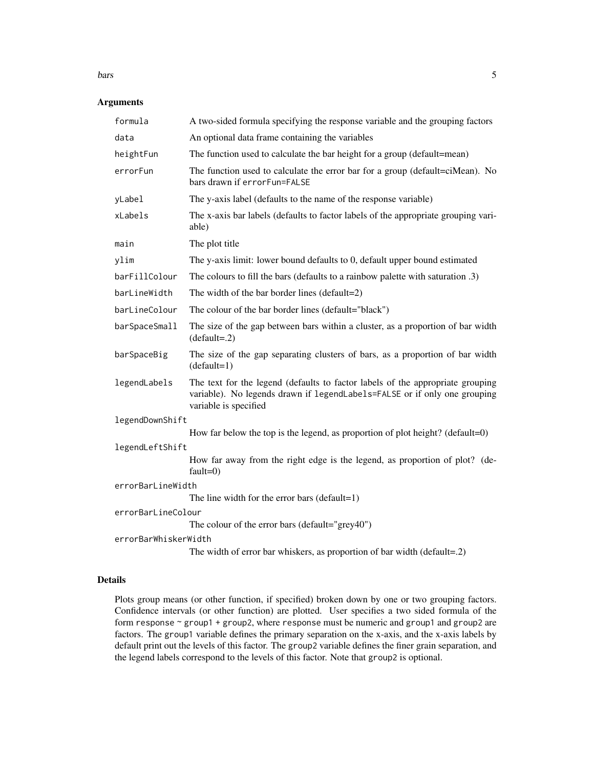#### bars 5

# Arguments

| formula                                         | A two-sided formula specifying the response variable and the grouping factors                                                                                                        |  |  |
|-------------------------------------------------|--------------------------------------------------------------------------------------------------------------------------------------------------------------------------------------|--|--|
| data                                            | An optional data frame containing the variables                                                                                                                                      |  |  |
| heightFun                                       | The function used to calculate the bar height for a group (default=mean)                                                                                                             |  |  |
| errorFun                                        | The function used to calculate the error bar for a group (default=ciMean). No<br>bars drawn if errorFun=FALSE                                                                        |  |  |
| yLabel                                          | The y-axis label (defaults to the name of the response variable)                                                                                                                     |  |  |
| xLabels                                         | The x-axis bar labels (defaults to factor labels of the appropriate grouping vari-<br>able)                                                                                          |  |  |
| main                                            | The plot title                                                                                                                                                                       |  |  |
| ylim                                            | The y-axis limit: lower bound defaults to 0, default upper bound estimated                                                                                                           |  |  |
| barFillColour                                   | The colours to fill the bars (defaults to a rainbow palette with saturation .3)                                                                                                      |  |  |
| barLineWidth                                    | The width of the bar border lines (default=2)                                                                                                                                        |  |  |
| barLineColour                                   | The colour of the bar border lines (default="black")                                                                                                                                 |  |  |
| barSpaceSmall                                   | The size of the gap between bars within a cluster, as a proportion of bar width<br>$(default=.2)$                                                                                    |  |  |
| barSpaceBig                                     | The size of the gap separating clusters of bars, as a proportion of bar width<br>$(default=1)$                                                                                       |  |  |
| legendLabels                                    | The text for the legend (defaults to factor labels of the appropriate grouping<br>variable). No legends drawn if legendLabels=FALSE or if only one grouping<br>variable is specified |  |  |
| legendDownShift                                 |                                                                                                                                                                                      |  |  |
|                                                 | How far below the top is the legend, as proportion of plot height? (default=0)                                                                                                       |  |  |
| legendLeftShift                                 |                                                                                                                                                                                      |  |  |
|                                                 | How far away from the right edge is the legend, as proportion of plot? (de-<br>$fault=0)$                                                                                            |  |  |
| errorBarLineWidth                               |                                                                                                                                                                                      |  |  |
|                                                 | The line width for the error bars (default=1)                                                                                                                                        |  |  |
| errorBarLineColour                              |                                                                                                                                                                                      |  |  |
| The colour of the error bars (default="grey40") |                                                                                                                                                                                      |  |  |
| errorBarWhiskerWidth                            |                                                                                                                                                                                      |  |  |
|                                                 | The width of error bar whiskers, as proportion of bar width (default=.2)                                                                                                             |  |  |

# Details

Plots group means (or other function, if specified) broken down by one or two grouping factors. Confidence intervals (or other function) are plotted. User specifies a two sided formula of the form response  $\sim$  group1 + group2, where response must be numeric and group1 and group2 are factors. The group1 variable defines the primary separation on the x-axis, and the x-axis labels by default print out the levels of this factor. The group2 variable defines the finer grain separation, and the legend labels correspond to the levels of this factor. Note that group2 is optional.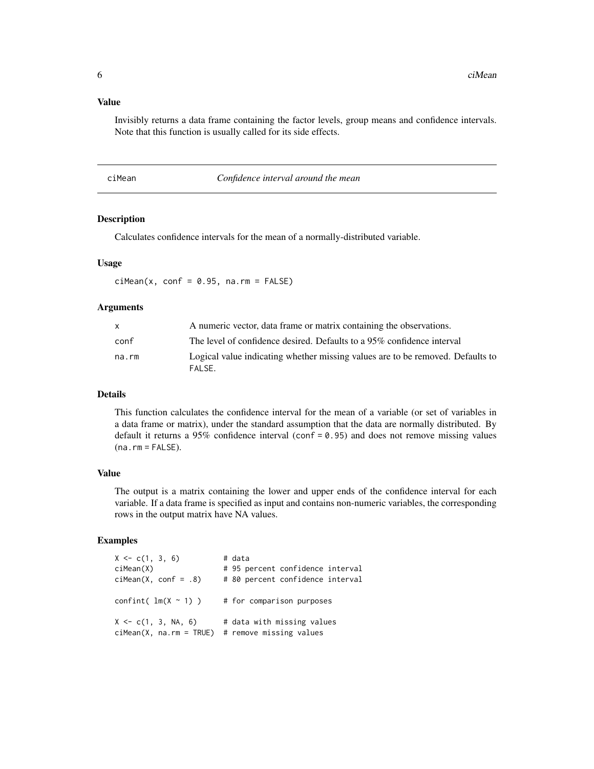#### <span id="page-5-0"></span>Value

Invisibly returns a data frame containing the factor levels, group means and confidence intervals. Note that this function is usually called for its side effects.

| ciMean |  |  |  |
|--------|--|--|--|
|--------|--|--|--|

#### Confidence interval around the mean

# Description

Calculates confidence intervals for the mean of a normally-distributed variable.

#### Usage

 $ciMean(x, conf = 0.95, na.rm = FALSE)$ 

#### Arguments

|       | A numeric vector, data frame or matrix containing the observations.                       |
|-------|-------------------------------------------------------------------------------------------|
| conf  | The level of confidence desired. Defaults to a 95% confidence interval                    |
| na.rm | Logical value indicating whether missing values are to be removed. Defaults to<br>FAI SF. |

# Details

This function calculates the confidence interval for the mean of a variable (or set of variables in a data frame or matrix), under the standard assumption that the data are normally distributed. By default it returns a 95% confidence interval (conf =  $0.95$ ) and does not remove missing values  $(na.rm = FALSE).$ 

#### Value

The output is a matrix containing the lower and upper ends of the confidence interval for each variable. If a data frame is specified as input and contains non-numeric variables, the corresponding rows in the output matrix have NA values.

| $X \leq -c(1, 3, 6)$                                  | # data                                                |
|-------------------------------------------------------|-------------------------------------------------------|
| $c$ iMean $(X)$                                       | # 95 percent confidence interval                      |
| $ciMean(X, conf = .8)$                                | # 80 percent confidence interval                      |
| confint( $lm(X \sim 1)$ )                             | # for comparison purposes                             |
| $X \leq C(1, 3, NA, 6)$<br>$cifMean(X, na.rm = TRUE)$ | # data with missing values<br># remove missing values |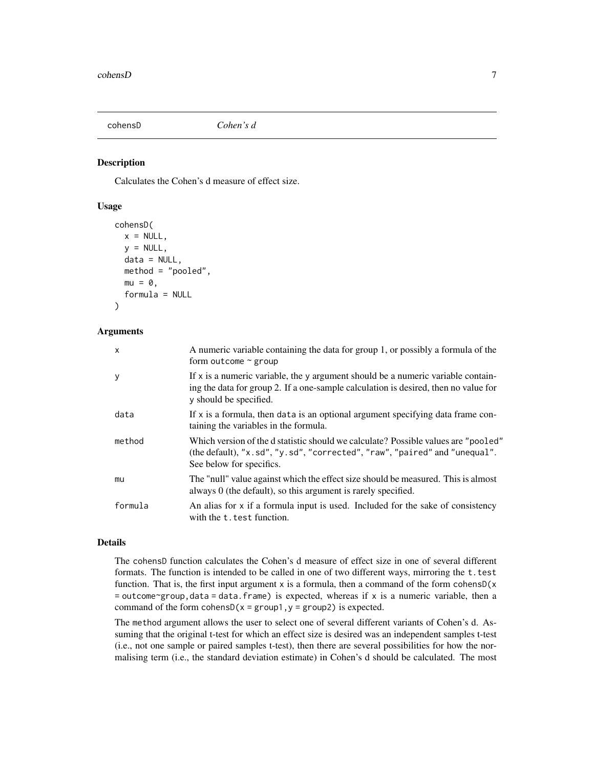<span id="page-6-1"></span><span id="page-6-0"></span>

#### Description

Calculates the Cohen's d measure of effect size.

#### Usage

```
cohensD(
  x = NULL,y = NULL,data = NULL,method = "pooled",
  mu = 0,
  formula = NULL
)
```
# Arguments

| $\mathsf{x}$ | A numeric variable containing the data for group 1, or possibly a formula of the<br>form outcome $\sim$ group                                                                                       |
|--------------|-----------------------------------------------------------------------------------------------------------------------------------------------------------------------------------------------------|
| <b>y</b>     | If $x$ is a numeric variable, the y argument should be a numeric variable contain-<br>ing the data for group 2. If a one-sample calculation is desired, then no value for<br>y should be specified. |
| data         | If $x$ is a formula, then data is an optional argument specifying data frame con-<br>taining the variables in the formula.                                                                          |
| method       | Which version of the d statistic should we calculate? Possible values are "pooled"<br>(the default), "x.sd", "y.sd", "corrected", "raw", "paired" and "unequal".<br>See below for specifics.        |
| mu           | The "null" value against which the effect size should be measured. This is almost<br>always $0$ (the default), so this argument is rarely specified.                                                |
| formula      | An alias for x if a formula input is used. Included for the sake of consistency<br>with the t. test function.                                                                                       |

### Details

The cohensD function calculates the Cohen's d measure of effect size in one of several different formats. The function is intended to be called in one of two different ways, mirroring the t.test function. That is, the first input argument x is a formula, then a command of the form cohens $D(x)$  $=$  outcome~group, data  $=$  data. frame) is expected, whereas if x is a numeric variable, then a command of the form cohens $D(x = group1, y = group2)$  is expected.

The method argument allows the user to select one of several different variants of Cohen's d. Assuming that the original t-test for which an effect size is desired was an independent samples t-test (i.e., not one sample or paired samples t-test), then there are several possibilities for how the normalising term (i.e., the standard deviation estimate) in Cohen's d should be calculated. The most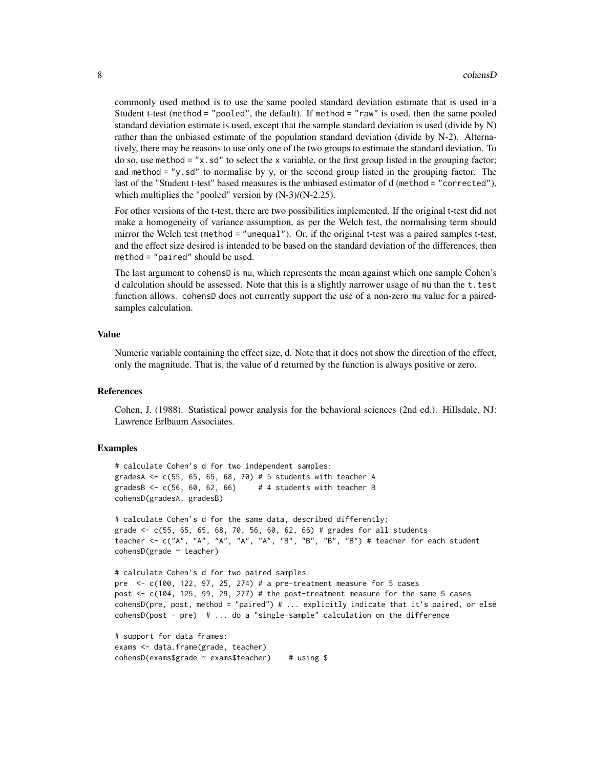commonly used method is to use the same pooled standard deviation estimate that is used in a Student t-test (method = "pooled", the default). If method = "raw" is used, then the same pooled standard deviation estimate is used, except that the sample standard deviation is used (divide by N) rather than the unbiased estimate of the population standard deviation (divide by N-2). Alternatively, there may be reasons to use only one of the two groups to estimate the standard deviation. To do so, use method = " $x$ . sd" to select the x variable, or the first group listed in the grouping factor; and method  $=$  "y.sd" to normalise by y, or the second group listed in the grouping factor. The last of the "Student t-test" based measures is the unbiased estimator of d (method = "corrected"), which multiplies the "pooled" version by (N-3)/(N-2.25).

For other versions of the t-test, there are two possibilities implemented. If the original t-test did not make a homogeneity of variance assumption, as per the Welch test, the normalising term should mirror the Welch test (method = "unequal"). Or, if the original t-test was a paired samples t-test, and the effect size desired is intended to be based on the standard deviation of the differences, then method = "paired" should be used.

The last argument to cohensD is mu, which represents the mean against which one sample Cohen's d calculation should be assessed. Note that this is a slightly narrower usage of mu than the  $t$ . test function allows. cohensD does not currently support the use of a non-zero mu value for a pairedsamples calculation.

#### Value

Numeric variable containing the effect size, d. Note that it does not show the direction of the effect, only the magnitude. That is, the value of d returned by the function is always positive or zero.

#### References

Cohen, J. (1988). Statistical power analysis for the behavioral sciences (2nd ed.). Hillsdale, NJ: Lawrence Erlbaum Associates.

```
# calculate Cohen's d for two independent samples:
gradesA \leq c(55, 65, 65, 68, 70) # 5 students with teacher A
gradesB \leq c(56, 60, 62, 66) # 4 students with teacher B
cohensD(gradesA, gradesB)
# calculate Cohen's d for the same data, described differently:
grade \leq \leq (55, 65, 65, 68, 70, 56, 60, 62, 66) # grades for all students
```

```
teacher <- c("A", "A", "A", "A", "A", "B", "B", "B", "B", "B")# teacher for each student
cohensD(grade ~ teacher)
```

```
# calculate Cohen's d for two paired samples:
pre \leq c(100, 122, 97, 25, 274) # a pre-treatment measure for 5 cases
post <- c(104, 125, 99, 29, 277) # the post-treatment measure for the same 5 cases
cohensD(pre, post, method = "paired") # ... explicitly indicate that it's paired, or else
cohensD(post - pre) # ... do a "single-sample" calculation on the difference
```

```
# support for data frames:
exams <- data.frame(grade, teacher)
cohensD(exams$grade ~ exams$teacher) # using $
```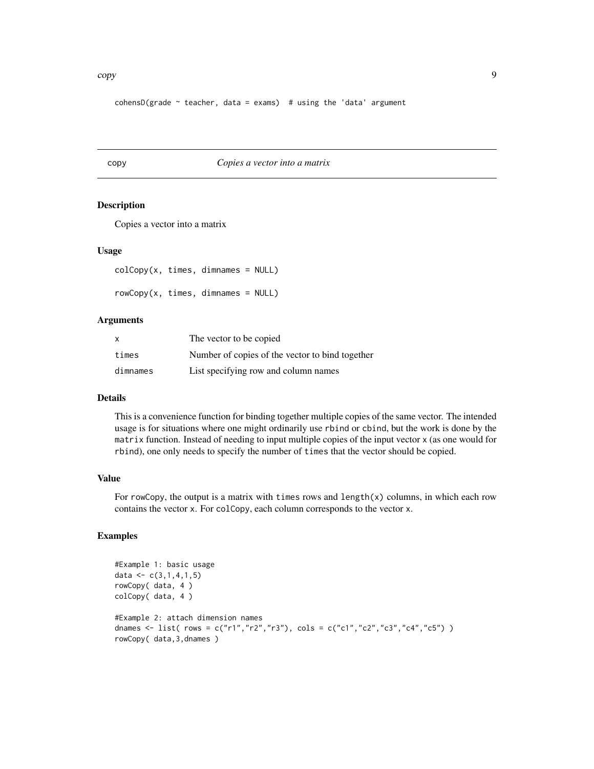<span id="page-8-0"></span>cohensD(grade  $\sim$  teacher, data = exams) # using the 'data' argument

#### copy *Copies a vector into a matrix*

#### Description

Copies a vector into a matrix

#### Usage

```
colCopy(x, times, dimnames = NULL)
rowCopy(x, times, dimnames = NULL)
```
#### Arguments

| X        | The vector to be copied.                        |
|----------|-------------------------------------------------|
| times    | Number of copies of the vector to bind together |
| dimnames | List specifying row and column names            |

#### Details

This is a convenience function for binding together multiple copies of the same vector. The intended usage is for situations where one might ordinarily use rbind or cbind, but the work is done by the matrix function. Instead of needing to input multiple copies of the input vector x (as one would for rbind), one only needs to specify the number of times that the vector should be copied.

# Value

For rowCopy, the output is a matrix with times rows and length $(x)$  columns, in which each row contains the vector x. For colCopy, each column corresponds to the vector x.

```
#Example 1: basic usage
data \leq c(3,1,4,1,5)rowCopy( data, 4 )
colCopy( data, 4 )
#Example 2: attach dimension names
dnames <- list( rows = c("r1","r2","r3"), cols = c("c1","c2","c3","c4","c5") )
rowCopy( data,3,dnames )
```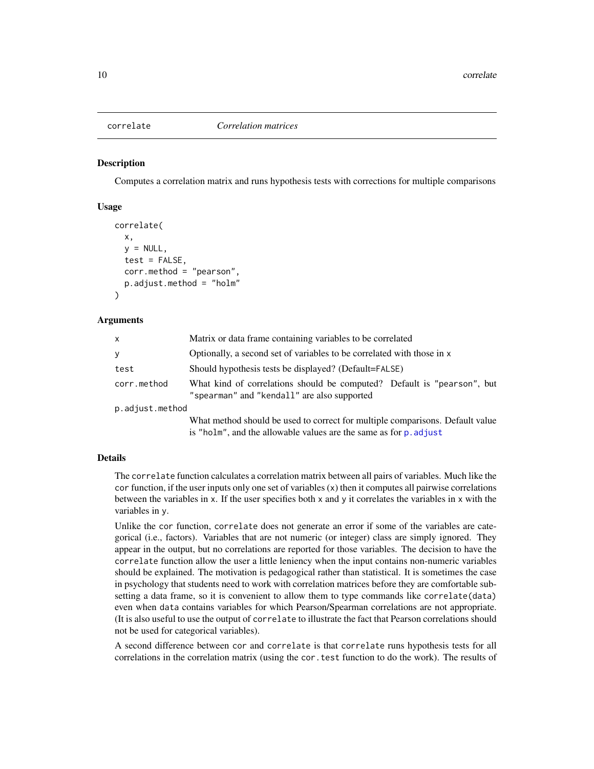#### <span id="page-9-0"></span>**Description**

Computes a correlation matrix and runs hypothesis tests with corrections for multiple comparisons

#### Usage

```
correlate(
  x,
 y = NULL,
  test = FALSE,corr.method = "pearson",
  p.adjust.method = "holm"
)
```
#### Arguments

| $\mathsf{x}$    | Matrix or data frame containing variables to be correlated                                                                                         |  |  |
|-----------------|----------------------------------------------------------------------------------------------------------------------------------------------------|--|--|
| y               | Optionally, a second set of variables to be correlated with those in x                                                                             |  |  |
| test            | Should hypothesis tests be displayed? (Default=FALSE)                                                                                              |  |  |
| corr.method     | What kind of correlations should be computed? Default is "pearson", but<br>"spearman" and "kendall" are also supported                             |  |  |
| p.adjust.method |                                                                                                                                                    |  |  |
|                 | What method should be used to correct for multiple comparisons. Default value<br>is "holm", and the allowable values are the same as for p. adjust |  |  |

# Details

The correlate function calculates a correlation matrix between all pairs of variables. Much like the cor function, if the user inputs only one set of variables (x) then it computes all pairwise correlations between the variables in x. If the user specifies both x and y it correlates the variables in x with the variables in y.

Unlike the cor function, correlate does not generate an error if some of the variables are categorical (i.e., factors). Variables that are not numeric (or integer) class are simply ignored. They appear in the output, but no correlations are reported for those variables. The decision to have the correlate function allow the user a little leniency when the input contains non-numeric variables should be explained. The motivation is pedagogical rather than statistical. It is sometimes the case in psychology that students need to work with correlation matrices before they are comfortable subsetting a data frame, so it is convenient to allow them to type commands like correlate(data) even when data contains variables for which Pearson/Spearman correlations are not appropriate. (It is also useful to use the output of correlate to illustrate the fact that Pearson correlations should not be used for categorical variables).

A second difference between cor and correlate is that correlate runs hypothesis tests for all correlations in the correlation matrix (using the cor.test function to do the work). The results of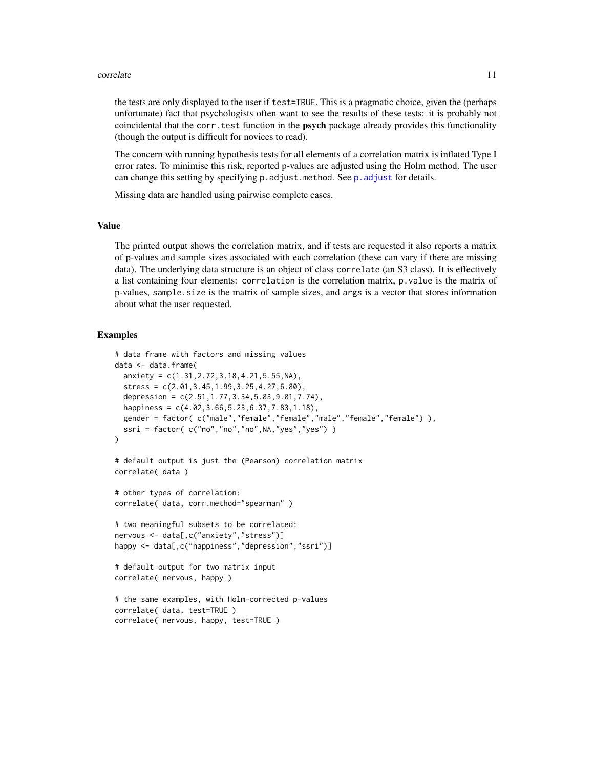#### <span id="page-10-0"></span>correlate the control of the control of the control of the control of the control of the control of the control of the control of the control of the control of the control of the control of the control of the control of th

the tests are only displayed to the user if test=TRUE. This is a pragmatic choice, given the (perhaps unfortunate) fact that psychologists often want to see the results of these tests: it is probably not coincidental that the corr, test function in the **psych** package already provides this functionality (though the output is difficult for novices to read).

The concern with running hypothesis tests for all elements of a correlation matrix is inflated Type I error rates. To minimise this risk, reported p-values are adjusted using the Holm method. The user can change this setting by specifying p. adjust.method. See p. adjust for details.

Missing data are handled using pairwise complete cases.

#### Value

The printed output shows the correlation matrix, and if tests are requested it also reports a matrix of p-values and sample sizes associated with each correlation (these can vary if there are missing data). The underlying data structure is an object of class correlate (an S3 class). It is effectively a list containing four elements: correlation is the correlation matrix, p.value is the matrix of p-values, sample.size is the matrix of sample sizes, and args is a vector that stores information about what the user requested.

```
# data frame with factors and missing values
data <- data.frame(
 anxiety = c(1.31, 2.72, 3.18, 4.21, 5.55, NA),stress = c(2.01, 3.45, 1.99, 3.25, 4.27, 6.80),depression = c(2.51, 1.77, 3.34, 5.83, 9.01, 7.74),
 happiness = c(4.02,3.66,5.23,6.37,7.83,1.18),
 gender = factor( c("male","female","female","male","female","female") ),
 ssri = factor(c("no", "no", "no", \text{NA}, "yes", "yes"))
)
# default output is just the (Pearson) correlation matrix
correlate( data )
# other types of correlation:
correlate( data, corr.method="spearman" )
# two meaningful subsets to be correlated:
nervous <- data[,c("anxiety","stress")]
happy <- data[,c("happiness","depression","ssri")]
# default output for two matrix input
correlate( nervous, happy )
# the same examples, with Holm-corrected p-values
correlate( data, test=TRUE )
correlate( nervous, happy, test=TRUE )
```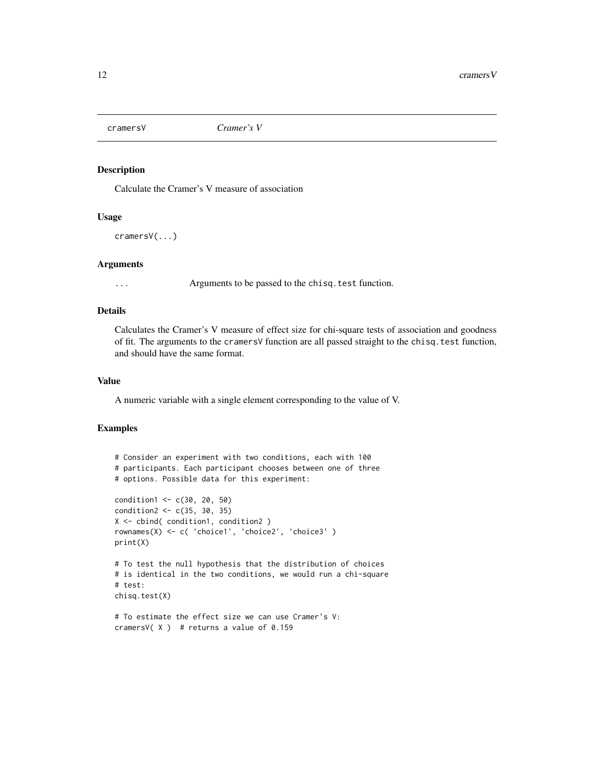<span id="page-11-1"></span><span id="page-11-0"></span>

# Description

Calculate the Cramer's V measure of association

#### Usage

cramersV(...)

# Arguments

... Arguments to be passed to the chisq.test function.

# Details

Calculates the Cramer's V measure of effect size for chi-square tests of association and goodness of fit. The arguments to the cramersV function are all passed straight to the chisq.test function, and should have the same format.

#### Value

A numeric variable with a single element corresponding to the value of V.

```
# Consider an experiment with two conditions, each with 100
# participants. Each participant chooses between one of three
# options. Possible data for this experiment:
condition1 <- c(30, 20, 50)
condition2 <- c(35, 30, 35)
X <- cbind( condition1, condition2 )
rownames(X) <- c( 'choice1', 'choice2', 'choice3' )
print(X)
# To test the null hypothesis that the distribution of choices
# is identical in the two conditions, we would run a chi-square
# test:
chisq.test(X)
# To estimate the effect size we can use Cramer's V:
cramersV(X) # returns a value of 0.159
```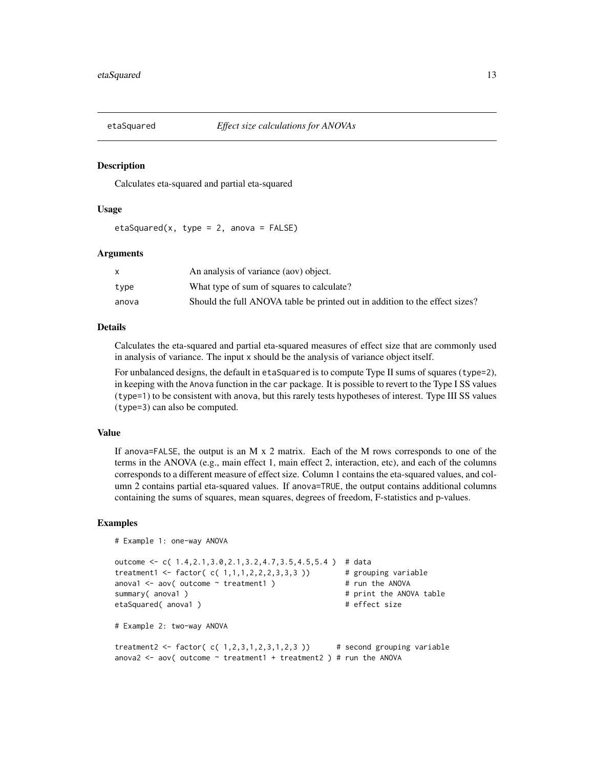<span id="page-12-0"></span>

#### Description

Calculates eta-squared and partial eta-squared

#### Usage

etaSquared(x, type = 2, anova =  $FALSE$ )

#### Arguments

|       | An analysis of variance (aov) object.                                       |
|-------|-----------------------------------------------------------------------------|
| type  | What type of sum of squares to calculate?                                   |
| anova | Should the full ANOVA table be printed out in addition to the effect sizes? |

#### Details

Calculates the eta-squared and partial eta-squared measures of effect size that are commonly used in analysis of variance. The input x should be the analysis of variance object itself.

For unbalanced designs, the default in etaSquared is to compute Type II sums of squares (type=2), in keeping with the Anova function in the car package. It is possible to revert to the Type I SS values (type=1) to be consistent with anova, but this rarely tests hypotheses of interest. Type III SS values (type=3) can also be computed.

#### Value

If anova=FALSE, the output is an M x 2 matrix. Each of the M rows corresponds to one of the terms in the ANOVA (e.g., main effect 1, main effect 2, interaction, etc), and each of the columns corresponds to a different measure of effect size. Column 1 contains the eta-squared values, and column 2 contains partial eta-squared values. If anova=TRUE, the output contains additional columns containing the sums of squares, mean squares, degrees of freedom, F-statistics and p-values.

```
# Example 1: one-way ANOVA
outcome <- c( 1.4,2.1,3.0,2.1,3.2,4.7,3.5,4.5,5.4 ) # data
treatment1 <- factor(c( 1, 1, 1, 2, 2, 2, 3, 3, 3)) # grouping variable
anova1 \leq aov( outcome \leq treatment1 ) \qquad # run the ANOVA
summary( anova1 ) \qquad \qquad \qquad \text{# print the ANOVA table}etaSquared( anova1 ) \qquad \qquad \qquad # effect size
# Example 2: two-way ANOVA
treatment2 <- factor(c( 1,2,3,1,2,3,1,2,3)) # second grouping variable
anova2 \leq aov( outcome \sim treatment1 + treatment2 ) # run the ANOVA
```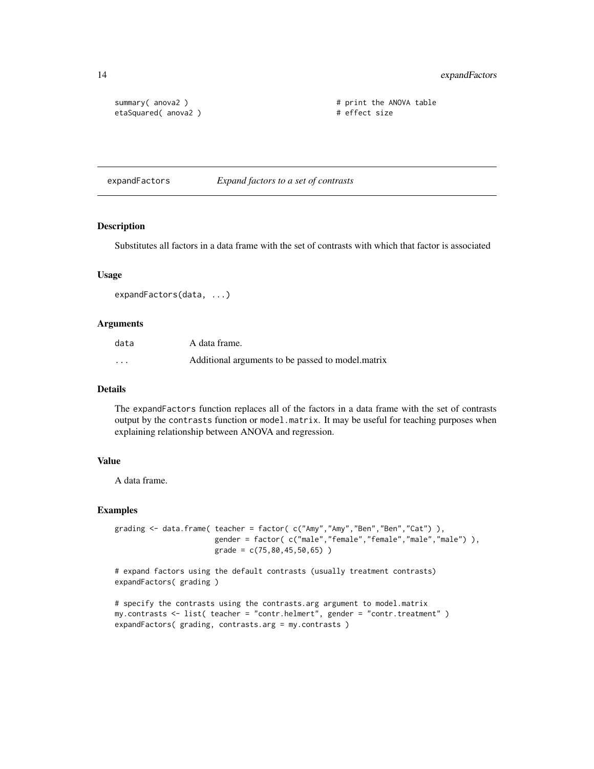<span id="page-13-0"></span>14 expandFactors

```
etaSquared( anova2 ) # effect size
```
summary( anova2 ) # print the ANOVA table

expandFactors *Expand factors to a set of contrasts*

# Description

Substitutes all factors in a data frame with the set of contrasts with which that factor is associated

#### Usage

```
expandFactors(data, ...)
```
#### Arguments

| data     | A data frame.                                     |
|----------|---------------------------------------------------|
| $\cdots$ | Additional arguments to be passed to model.matrix |

## Details

The expandFactors function replaces all of the factors in a data frame with the set of contrasts output by the contrasts function or model.matrix. It may be useful for teaching purposes when explaining relationship between ANOVA and regression.

#### Value

A data frame.

#### Examples

```
grading <- data.frame( teacher = factor( c("Amy","Amy","Ben","Ben","Cat") ),
                      gender = factor( c("male","female","female","male","male") ),
                      grade = c(75,80,45,50,65) )
```

```
# expand factors using the default contrasts (usually treatment contrasts)
expandFactors( grading )
```
# specify the contrasts using the contrasts.arg argument to model.matrix my.contrasts <- list( teacher = "contr.helmert", gender = "contr.treatment" ) expandFactors( grading, contrasts.arg = my.contrasts )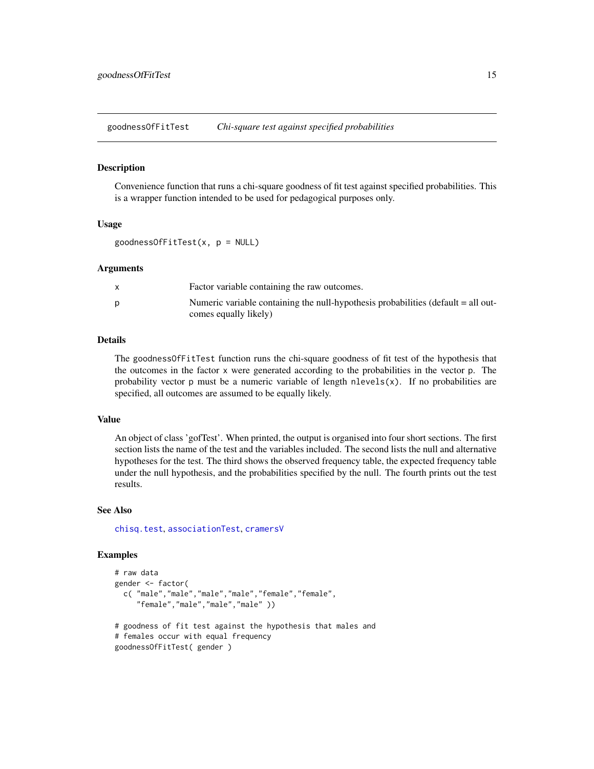<span id="page-14-0"></span>goodnessOfFitTest *Chi-square test against specified probabilities*

#### **Description**

Convenience function that runs a chi-square goodness of fit test against specified probabilities. This is a wrapper function intended to be used for pedagogical purposes only.

#### Usage

```
goodnessOfFitTest(x, p = NULL)
```
#### Arguments

| Factor variable containing the raw outcomes.                                      |
|-----------------------------------------------------------------------------------|
| Numeric variable containing the null-hypothesis probabilities (default = all out- |
| comes equally likely)                                                             |

#### Details

The goodnessOfFitTest function runs the chi-square goodness of fit test of the hypothesis that the outcomes in the factor x were generated according to the probabilities in the vector p. The probability vector  $p$  must be a numeric variable of length nlevels $(x)$ . If no probabilities are specified, all outcomes are assumed to be equally likely.

#### Value

An object of class 'gofTest'. When printed, the output is organised into four short sections. The first section lists the name of the test and the variables included. The second lists the null and alternative hypotheses for the test. The third shows the observed frequency table, the expected frequency table under the null hypothesis, and the probabilities specified by the null. The fourth prints out the test results.

#### See Also

[chisq.test](#page-0-0), [associationTest](#page-2-1), [cramersV](#page-11-1)

```
# raw data
gender <- factor(
 c( "male","male","male","male","female","female",
     "female","male","male","male" ))
# goodness of fit test against the hypothesis that males and
# females occur with equal frequency
```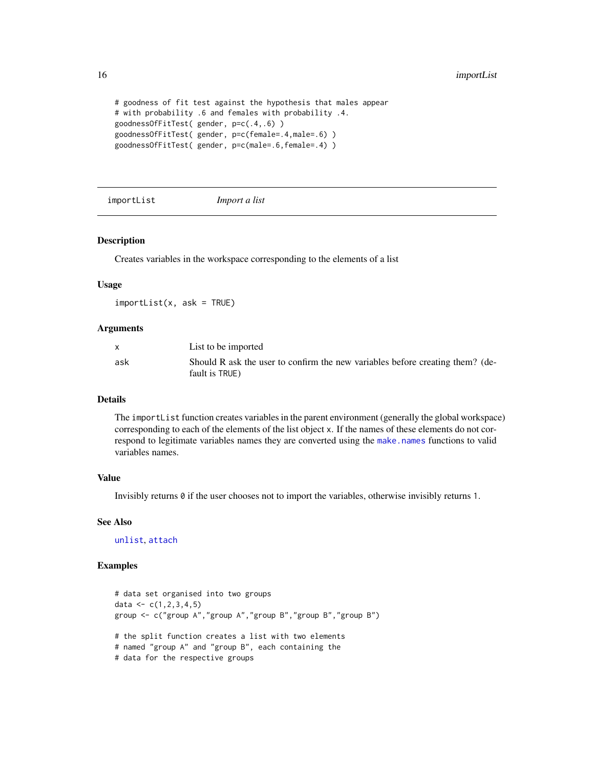```
# goodness of fit test against the hypothesis that males appear
# with probability .6 and females with probability .4.
goodnessOfFitTest( gender, p=c(.4,.6) )
goodnessOfFitTest( gender, p=c(female=.4,male=.6) )
goodnessOfFitTest( gender, p=c(male=.6,female=.4) )
```
importList *Import a list*

#### Description

Creates variables in the workspace corresponding to the elements of a list

#### Usage

 $importList(x, ask = TRUE)$ 

#### **Arguments**

| X   | List to be imported                                                                             |
|-----|-------------------------------------------------------------------------------------------------|
| ask | Should R ask the user to confirm the new variables before creating them? (de-<br>fault is TRUE) |

#### Details

The importList function creates variables in the parent environment (generally the global workspace) corresponding to each of the elements of the list object x. If the names of these elements do not correspond to legitimate variables names they are converted using the [make.names](#page-0-0) functions to valid variables names.

#### Value

Invisibly returns 0 if the user chooses not to import the variables, otherwise invisibly returns 1.

#### See Also

[unlist](#page-0-0), [attach](#page-0-0)

```
# data set organised into two groups
data \leq c(1, 2, 3, 4, 5)group <- c("group A","group A","group B","group B","group B")
# the split function creates a list with two elements
# named "group A" and "group B", each containing the
# data for the respective groups
```
<span id="page-15-0"></span>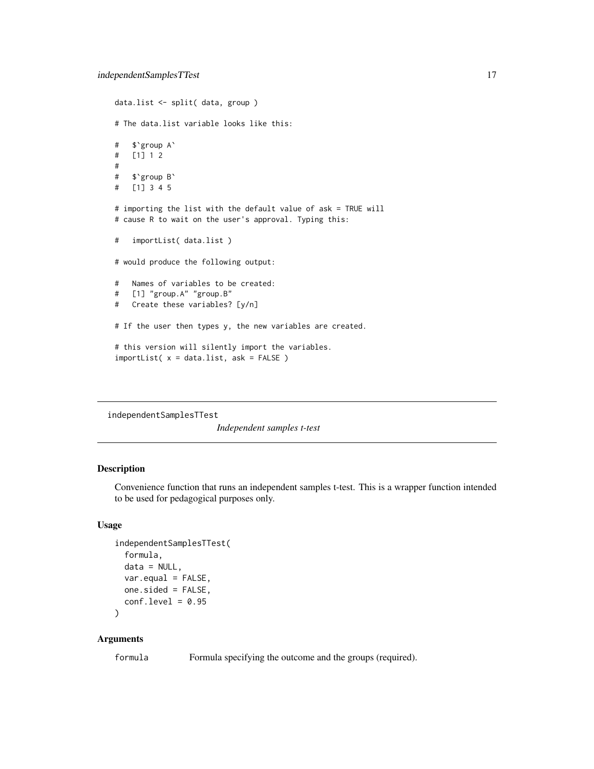```
data.list <- split( data, group )
# The data.list variable looks like this:
# $`group A`
# [1] 1 2
#
# $`group B`
# [1] 3 4 5
# importing the list with the default value of ask = TRUE will
# cause R to wait on the user's approval. Typing this:
# importList( data.list )
# would produce the following output:
# Names of variables to be created:
# [1] "group.A" "group.B"
# Create these variables? [y/n]
# If the user then types y, the new variables are created.
# this version will silently import the variables.
importList( x = data.list, ask = FALSE )
```
<span id="page-16-1"></span>independentSamplesTTest

*Independent samples t-test*

#### Description

Convenience function that runs an independent samples t-test. This is a wrapper function intended to be used for pedagogical purposes only.

#### Usage

```
independentSamplesTTest(
  formula,
  data = NULL,var.equal = FALSE,
 one.sided = FALSE,
 conf. level = 0.95\lambda
```
#### Arguments

formula Formula specifying the outcome and the groups (required).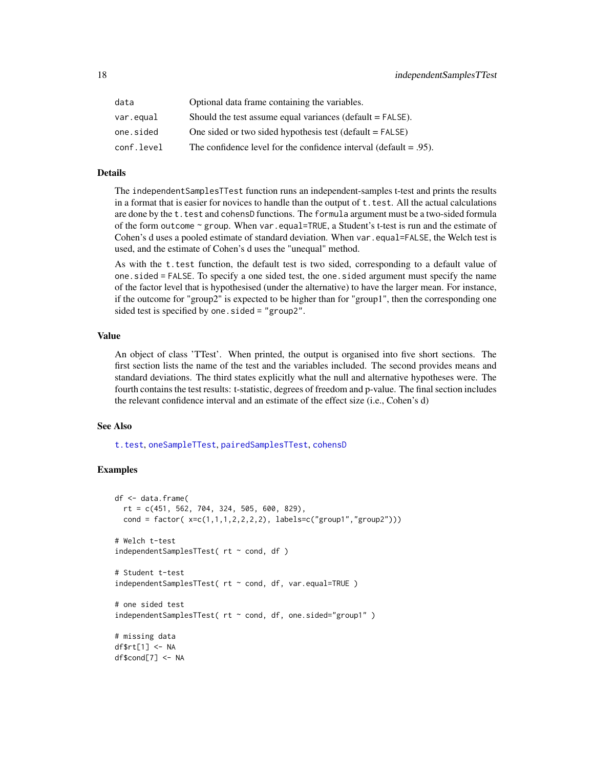<span id="page-17-0"></span>

| data       | Optional data frame containing the variables.                        |
|------------|----------------------------------------------------------------------|
| var.equal  | Should the test assume equal variances ( $default = FALSE$ ).        |
| one.sided  | One sided or two sided hypothesis test (default $=$ FALSE)           |
| conf.level | The confidence level for the confidence interval (default $= .95$ ). |

## Details

The independentSamplesTTest function runs an independent-samples t-test and prints the results in a format that is easier for novices to handle than the output of  $t$ . test. All the actual calculations are done by the t.test and cohensD functions. The formula argument must be a two-sided formula of the form outcome  $\sim$  group. When var.equal=TRUE, a Student's t-test is run and the estimate of Cohen's d uses a pooled estimate of standard deviation. When var.equal=FALSE, the Welch test is used, and the estimate of Cohen's d uses the "unequal" method.

As with the t.test function, the default test is two sided, corresponding to a default value of one.sided = FALSE. To specify a one sided test, the one.sided argument must specify the name of the factor level that is hypothesised (under the alternative) to have the larger mean. For instance, if the outcome for "group2" is expected to be higher than for "group1", then the corresponding one sided test is specified by one.sided = "group2".

# Value

An object of class 'TTest'. When printed, the output is organised into five short sections. The first section lists the name of the test and the variables included. The second provides means and standard deviations. The third states explicitly what the null and alternative hypotheses were. The fourth contains the test results: t-statistic, degrees of freedom and p-value. The final section includes the relevant confidence interval and an estimate of the effect size (i.e., Cohen's d)

# See Also

[t.test](#page-0-0), [oneSampleTTest](#page-20-1), [pairedSamplesTTest](#page-21-1), [cohensD](#page-6-1)

```
df <- data.frame(
 rt = c(451, 562, 704, 324, 505, 600, 829),
 cond = factor(x=c(1,1,1,2,2,2,2), labels=c("group1","group2")))
# Welch t-test
independentSamplingTTest(rt \sim cond, df)# Student t-test
independentSamplesTTest( rt ~ cond, df, var.equal=TRUE )
# one sided test
independentSamplesTTest( rt ~ cond, df, one.sided="group1")
# missing data
df$rt[1] <- NA
df$cond[7] <- NA
```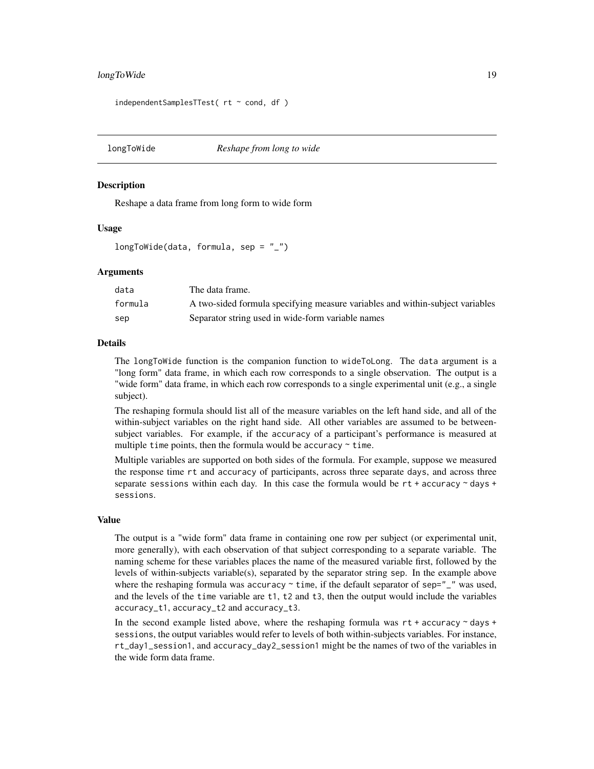# <span id="page-18-0"></span>longToWide 19

independentSamplesTTest( rt ~ cond, df )

<span id="page-18-1"></span>longToWide *Reshape from long to wide*

#### Description

Reshape a data frame from long form to wide form

#### Usage

longToWide(data, formula, sep =  $"$ \_")

#### Arguments

| data    | The data frame.                                                               |
|---------|-------------------------------------------------------------------------------|
| formula | A two-sided formula specifying measure variables and within-subject variables |
| sep     | Separator string used in wide-form variable names                             |

#### Details

The longToWide function is the companion function to wideToLong. The data argument is a "long form" data frame, in which each row corresponds to a single observation. The output is a "wide form" data frame, in which each row corresponds to a single experimental unit (e.g., a single subject).

The reshaping formula should list all of the measure variables on the left hand side, and all of the within-subject variables on the right hand side. All other variables are assumed to be betweensubject variables. For example, if the accuracy of a participant's performance is measured at multiple time points, then the formula would be accuracy  $\sim$  time.

Multiple variables are supported on both sides of the formula. For example, suppose we measured the response time rt and accuracy of participants, across three separate days, and across three separate sessions within each day. In this case the formula would be  $rt +$  accuracy  $\sim$  days + sessions.

#### Value

The output is a "wide form" data frame in containing one row per subject (or experimental unit, more generally), with each observation of that subject corresponding to a separate variable. The naming scheme for these variables places the name of the measured variable first, followed by the levels of within-subjects variable(s), separated by the separator string sep. In the example above where the reshaping formula was accuracy  $\sim$  time, if the default separator of sep=" $\degree$ " was used, and the levels of the time variable are t1, t2 and t3, then the output would include the variables accuracy\_t1, accuracy\_t2 and accuracy\_t3.

In the second example listed above, where the reshaping formula was  $rt +$  accuracy  $\sim$  days  $+$ sessions, the output variables would refer to levels of both within-subjects variables. For instance, rt\_day1\_session1, and accuracy\_day2\_session1 might be the names of two of the variables in the wide form data frame.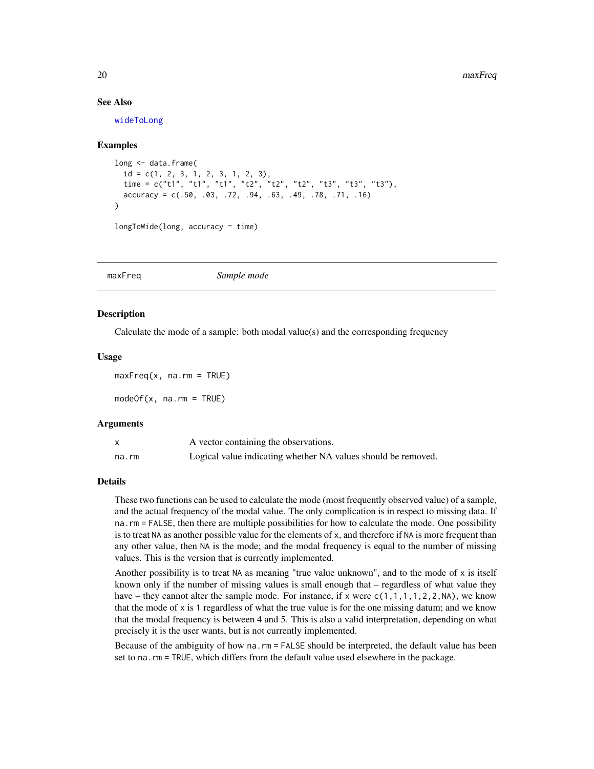#### See Also

[wideToLong](#page-35-1)

#### Examples

```
long <- data.frame(
 id = c(1, 2, 3, 1, 2, 3, 1, 2, 3),time = c("t1", "t1", "t1", "t2", "t2", "t2", "t3", "t3", "t3"),
  accuracy = c(.50, .03, .72, .94, .63, .49, .78, .71, .16)
)
longToWide(long, accuracy \sim time)
```
maxFreq *Sample mode*

#### <span id="page-19-1"></span>Description

Calculate the mode of a sample: both modal value(s) and the corresponding frequency

# Usage

```
maxFreq(x, na.rm = TRUE)
```
 $modeOf(x, na.rm = TRUE)$ 

#### Arguments

|       | A vector containing the observations.                         |
|-------|---------------------------------------------------------------|
| na.rm | Logical value indicating whether NA values should be removed. |

#### Details

These two functions can be used to calculate the mode (most frequently observed value) of a sample, and the actual frequency of the modal value. The only complication is in respect to missing data. If na.rm = FALSE, then there are multiple possibilities for how to calculate the mode. One possibility is to treat NA as another possible value for the elements of x, and therefore if NA is more frequent than any other value, then NA is the mode; and the modal frequency is equal to the number of missing values. This is the version that is currently implemented.

Another possibility is to treat NA as meaning "true value unknown", and to the mode of  $x$  is itself known only if the number of missing values is small enough that – regardless of what value they have – they cannot alter the sample mode. For instance, if x were  $c(1,1,1,1,2,2,N)$ , we know that the mode of x is 1 regardless of what the true value is for the one missing datum; and we know that the modal frequency is between 4 and 5. This is also a valid interpretation, depending on what precisely it is the user wants, but is not currently implemented.

Because of the ambiguity of how na.rm = FALSE should be interpreted, the default value has been set to na.rm = TRUE, which differs from the default value used elsewhere in the package.

<span id="page-19-0"></span>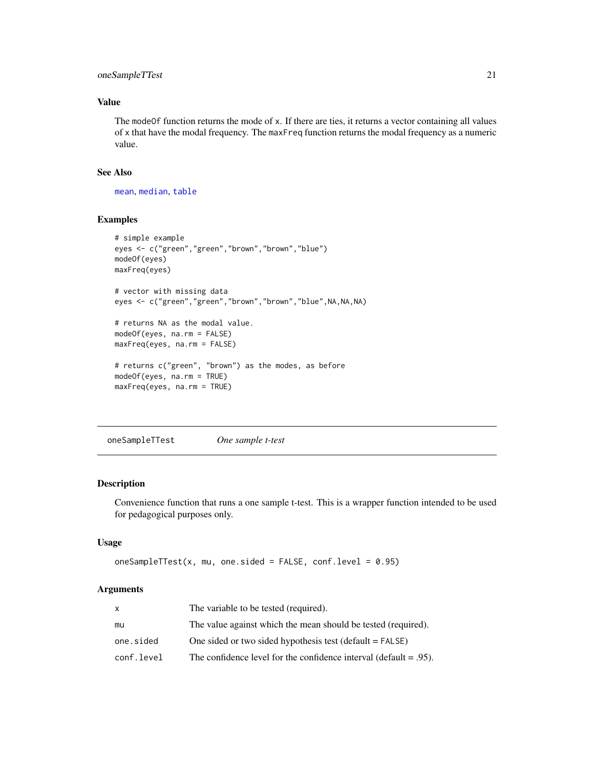# <span id="page-20-0"></span>oneSampleTTest 21

# Value

The modeOf function returns the mode of x. If there are ties, it returns a vector containing all values of x that have the modal frequency. The maxFreq function returns the modal frequency as a numeric value.

# See Also

[mean](#page-0-0), [median](#page-0-0), [table](#page-0-0)

#### Examples

```
# simple example
eyes <- c("green","green","brown","brown","blue")
modeOf(eyes)
maxFreq(eyes)
# vector with missing data
eyes <- c("green","green","brown","brown","blue",NA,NA,NA)
# returns NA as the modal value.
modeOf(eyes, na.rm = FALSE)
maxFreq(eyes, na.rm = FALSE)
# returns c("green", "brown") as the modes, as before
modeOf(eyes, na.rm = TRUE)
maxFreq(eyes, na.rm = TRUE)
```
<span id="page-20-1"></span>oneSampleTTest *One sample t-test*

#### Description

Convenience function that runs a one sample t-test. This is a wrapper function intended to be used for pedagogical purposes only.

#### Usage

```
oneSampleTTest(x, mu, one.sided = FALSE, conf.level = 0.95)
```
#### Arguments

| x          | The variable to be tested (required).                                |
|------------|----------------------------------------------------------------------|
| mu         | The value against which the mean should be tested (required).        |
| one.sided  | One sided or two sided hypothesis test (default $=$ FALSE)           |
| conf.level | The confidence level for the confidence interval (default $= .95$ ). |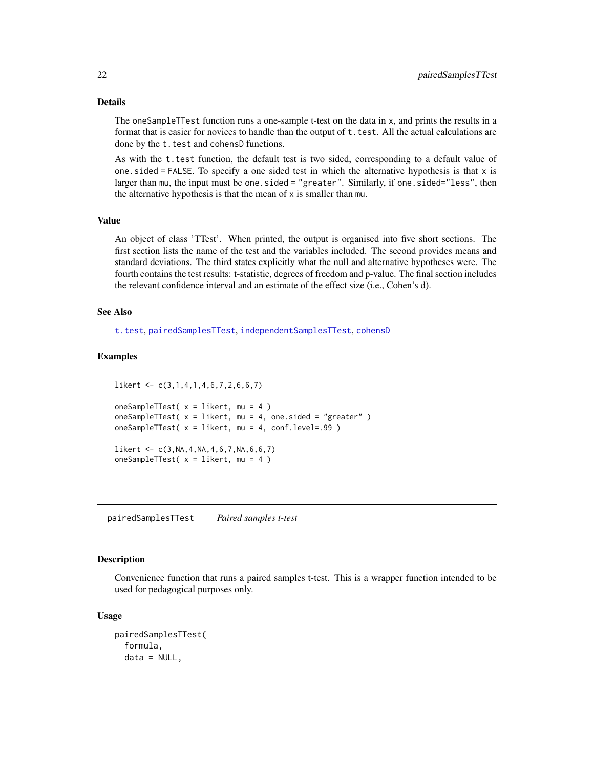# Details

The oneSampleTTest function runs a one-sample t-test on the data in x, and prints the results in a format that is easier for novices to handle than the output of t. test. All the actual calculations are done by the t.test and cohensD functions.

As with the t.test function, the default test is two sided, corresponding to a default value of one. sided  $=$  FALSE. To specify a one sided test in which the alternative hypothesis is that  $x$  is larger than mu, the input must be one.sided = "greater". Similarly, if one.sided="less", then the alternative hypothesis is that the mean of x is smaller than mu.

#### Value

An object of class 'TTest'. When printed, the output is organised into five short sections. The first section lists the name of the test and the variables included. The second provides means and standard deviations. The third states explicitly what the null and alternative hypotheses were. The fourth contains the test results: t-statistic, degrees of freedom and p-value. The final section includes the relevant confidence interval and an estimate of the effect size (i.e., Cohen's d).

#### See Also

[t.test](#page-0-0), [pairedSamplesTTest](#page-21-1), [independentSamplesTTest](#page-16-1), [cohensD](#page-6-1)

### Examples

```
likert <- c(3,1,4,1,4,6,7,2,6,6,7)
oneSampleTTest( x = likert, mu = 4 )
oneSampleTTest( x = likert, mu = 4, one.sided = "greater" )
oneSampleTTest( x = likert, mu = 4, conf.level=.99 )
likert \leq C(3, NA, 4, NA, 4, 6, 7, NA, 6, 6, 7)oneSampleTTest(x = likert, mu = 4)
```
<span id="page-21-1"></span>pairedSamplesTTest *Paired samples t-test*

#### **Description**

Convenience function that runs a paired samples t-test. This is a wrapper function intended to be used for pedagogical purposes only.

#### Usage

```
pairedSamplesTTest(
  formula,
  data = NULL,
```
<span id="page-21-0"></span>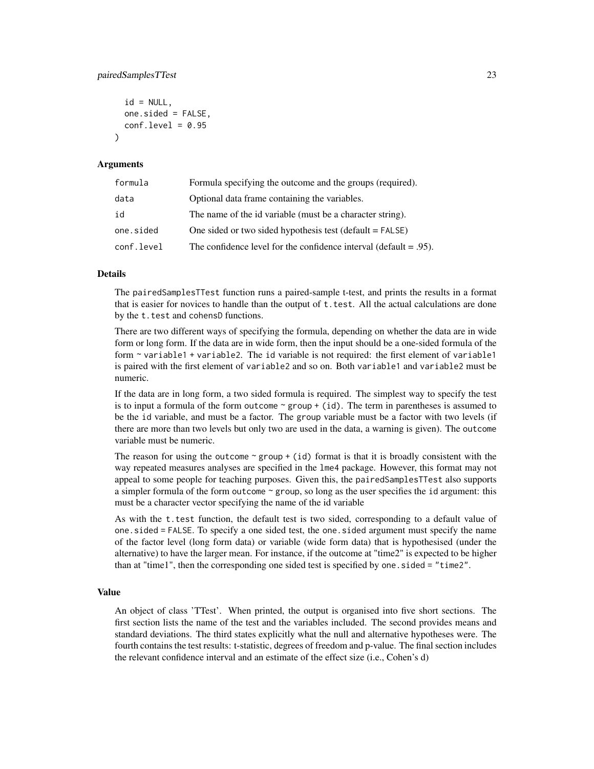#### pairedSamplesTTest 23

```
id = NULL,one.sided = FALSE,
  conf<math>level = 0.95\lambda
```
#### Arguments

| formula    | Formula specifying the outcome and the groups (required).            |
|------------|----------------------------------------------------------------------|
| data       | Optional data frame containing the variables.                        |
| id         | The name of the id variable (must be a character string).            |
| one.sided  | One sided or two sided hypothesis test (default $=$ FALSE)           |
| conf.level | The confidence level for the confidence interval (default $= .95$ ). |

# Details

The pairedSamplesTTest function runs a paired-sample t-test, and prints the results in a format that is easier for novices to handle than the output of  $t$ . test. All the actual calculations are done by the t.test and cohensD functions.

There are two different ways of specifying the formula, depending on whether the data are in wide form or long form. If the data are in wide form, then the input should be a one-sided formula of the form ~ variable1 + variable2. The id variable is not required: the first element of variable1 is paired with the first element of variable2 and so on. Both variable1 and variable2 must be numeric.

If the data are in long form, a two sided formula is required. The simplest way to specify the test is to input a formula of the form outcome  $\sim$  group + (id). The term in parentheses is assumed to be the id variable, and must be a factor. The group variable must be a factor with two levels (if there are more than two levels but only two are used in the data, a warning is given). The outcome variable must be numeric.

The reason for using the outcome  $\sim$  group + (id) format is that it is broadly consistent with the way repeated measures analyses are specified in the lme4 package. However, this format may not appeal to some people for teaching purposes. Given this, the pairedSamplesTTest also supports a simpler formula of the form outcome ~ group, so long as the user specifies the id argument: this must be a character vector specifying the name of the id variable

As with the t.test function, the default test is two sided, corresponding to a default value of one.sided = FALSE. To specify a one sided test, the one.sided argument must specify the name of the factor level (long form data) or variable (wide form data) that is hypothesised (under the alternative) to have the larger mean. For instance, if the outcome at "time2" is expected to be higher than at "time1", then the corresponding one sided test is specified by one.sided = "time2".

### Value

An object of class 'TTest'. When printed, the output is organised into five short sections. The first section lists the name of the test and the variables included. The second provides means and standard deviations. The third states explicitly what the null and alternative hypotheses were. The fourth contains the test results: t-statistic, degrees of freedom and p-value. The final section includes the relevant confidence interval and an estimate of the effect size (i.e., Cohen's d)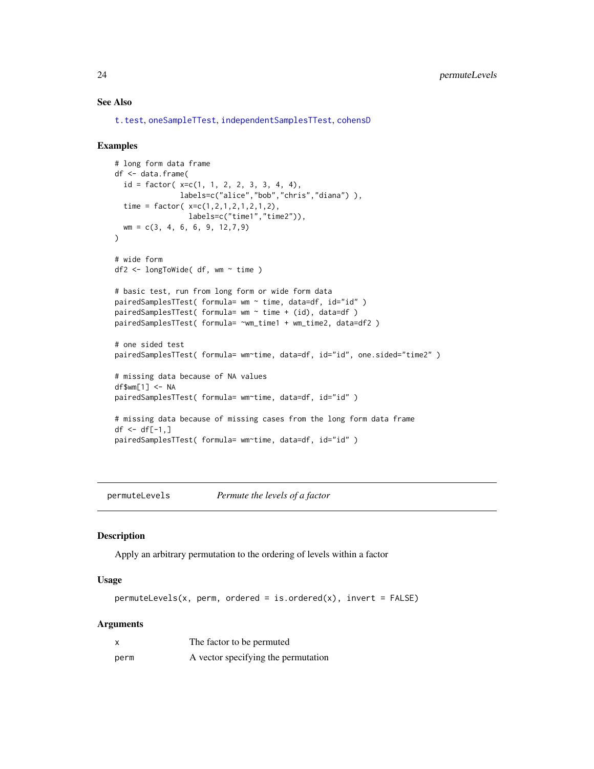#### See Also

[t.test](#page-0-0), [oneSampleTTest](#page-20-1), [independentSamplesTTest](#page-16-1), [cohensD](#page-6-1)

#### Examples

```
# long form data frame
df <- data.frame(
  id = factor(x=c(1, 1, 2, 2, 3, 3, 4, 4),labels=c("alice","bob","chris","diana") ),
  time = factor( x=c(1,2,1,2,1,2,1,2),
                 labels=c("time1","time2")),
  wm = c(3, 4, 6, 6, 9, 12,7,9)
\mathcal{L}# wide form
df2 <- longToWide( df, wm ~ time )
# basic test, run from long form or wide form data
pairedSamplesTTest( formula= wm ~ time, data=df, id="id" )
pairedSamplesTTest( formula= wm ~ time + (id), data=df)
pairedSamplesTTest( formula= ~wm_time1 + wm_time2, data=df2 )
# one sided test
pairedSamplesTTest( formula= wm~time, data=df, id="id", one.sided="time2")
# missing data because of NA values
df$wm[1] <- NA
pairedSamplesTTest( formula= wm~time, data=df, id="id" )
# missing data because of missing cases from the long form data frame
df \le df[-1,]
pairedSamplesTTest( formula= wm~time, data=df, id="id" )
```
permuteLevels *Permute the levels of a factor*

#### Description

Apply an arbitrary permutation to the ordering of levels within a factor

#### Usage

 $permuteLevels(x, perm, ordered = is.ordered(x), invert = FALSE)$ 

# Arguments

|      | The factor to be permuted           |
|------|-------------------------------------|
| perm | A vector specifying the permutation |

<span id="page-23-0"></span>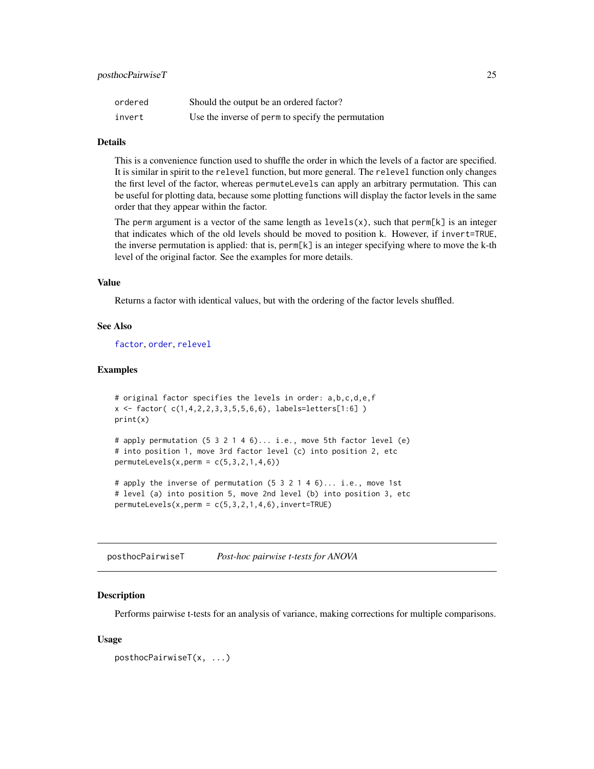<span id="page-24-0"></span>

| ordered | Should the output be an ordered factor?            |
|---------|----------------------------------------------------|
| invert  | Use the inverse of perm to specify the permutation |

#### Details

This is a convenience function used to shuffle the order in which the levels of a factor are specified. It is similar in spirit to the relevel function, but more general. The relevel function only changes the first level of the factor, whereas permuteLevels can apply an arbitrary permutation. This can be useful for plotting data, because some plotting functions will display the factor levels in the same order that they appear within the factor.

The perm argument is a vector of the same length as  $levels(x)$ , such that  $perm[k]$  is an integer that indicates which of the old levels should be moved to position k. However, if invert=TRUE, the inverse permutation is applied: that is, perm[k] is an integer specifying where to move the k-th level of the original factor. See the examples for more details.

# Value

Returns a factor with identical values, but with the ordering of the factor levels shuffled.

# See Also

[factor](#page-0-0), [order](#page-0-0), [relevel](#page-0-0)

#### Examples

```
# original factor specifies the levels in order: a,b,c,d,e,f
x \le factor( c(1,4,2,2,3,3,5,5,6,6), labels=letters[1:6] )
print(x)
```

```
# apply permutation (5 3 2 1 4 6)... i.e., move 5th factor level (e)
# into position 1, move 3rd factor level (c) into position 2, etc
permuteLevels(x,perm = c(5,3,2,1,4,6))
```

```
# apply the inverse of permutation (5 3 2 1 4 6)... i.e., move 1st
# level (a) into position 5, move 2nd level (b) into position 3, etc
permuteLevels(x,perm = c(5,3,2,1,4,6), invert = TRUE)
```
posthocPairwiseT *Post-hoc pairwise t-tests for ANOVA*

#### Description

Performs pairwise t-tests for an analysis of variance, making corrections for multiple comparisons.

#### Usage

```
posthocPairwiseT(x, ...)
```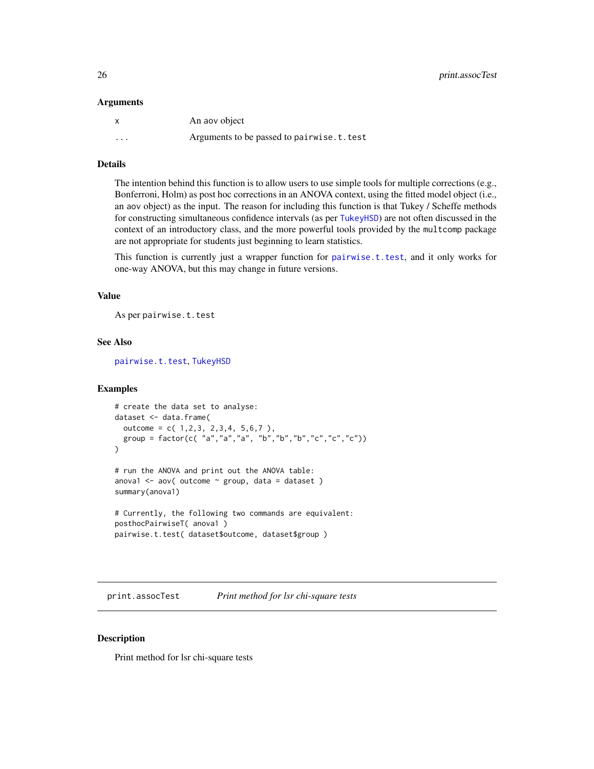#### <span id="page-25-0"></span>Arguments

|          | An aov object                             |
|----------|-------------------------------------------|
| $\cdots$ | Arguments to be passed to pairwise.t.test |

#### Details

The intention behind this function is to allow users to use simple tools for multiple corrections (e.g., Bonferroni, Holm) as post hoc corrections in an ANOVA context, using the fitted model object (i.e., an aov object) as the input. The reason for including this function is that Tukey / Scheffe methods for constructing simultaneous confidence intervals (as per [TukeyHSD](#page-0-0)) are not often discussed in the context of an introductory class, and the more powerful tools provided by the multcomp package are not appropriate for students just beginning to learn statistics.

This function is currently just a wrapper function for [pairwise.t.test](#page-0-0), and it only works for one-way ANOVA, but this may change in future versions.

#### Value

As per pairwise.t.test

# See Also

[pairwise.t.test](#page-0-0), [TukeyHSD](#page-0-0)

#### Examples

```
# create the data set to analyse:
dataset <- data.frame(
 outcome = c( 1, 2, 3, 2, 3, 4, 5, 6, 7),
 group = factor(c( "a","a","a", "b","b","b","c","c","c"))
)
# run the ANOVA and print out the ANOVA table:
anova1 <- aov( outcome \sim group, data = dataset )
summary(anova1)
# Currently, the following two commands are equivalent:
posthocPairwiseT( anova1 )
pairwise.t.test( dataset$outcome, dataset$group )
```
print.assocTest *Print method for lsr chi-square tests*

#### Description

Print method for lsr chi-square tests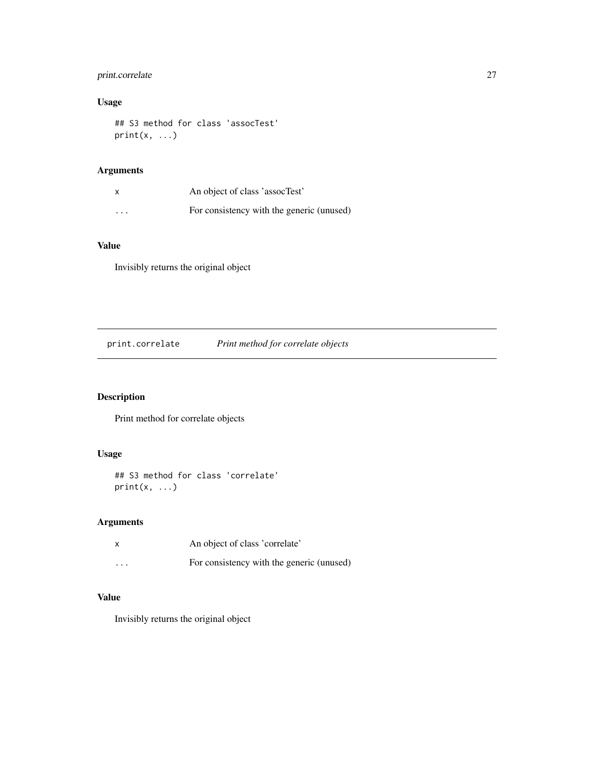# <span id="page-26-0"></span>print.correlate 27

# Usage

## S3 method for class 'assocTest'  $print(x, \ldots)$ 

# Arguments

|          | An object of class 'assocTest'            |
|----------|-------------------------------------------|
| $\cdots$ | For consistency with the generic (unused) |

# Value

Invisibly returns the original object

print.correlate *Print method for correlate objects*

# Description

Print method for correlate objects

# Usage

```
## S3 method for class 'correlate'
print(x, \ldots)
```
# Arguments

|          | An object of class 'correlate'            |
|----------|-------------------------------------------|
| $\cdots$ | For consistency with the generic (unused) |

# Value

Invisibly returns the original object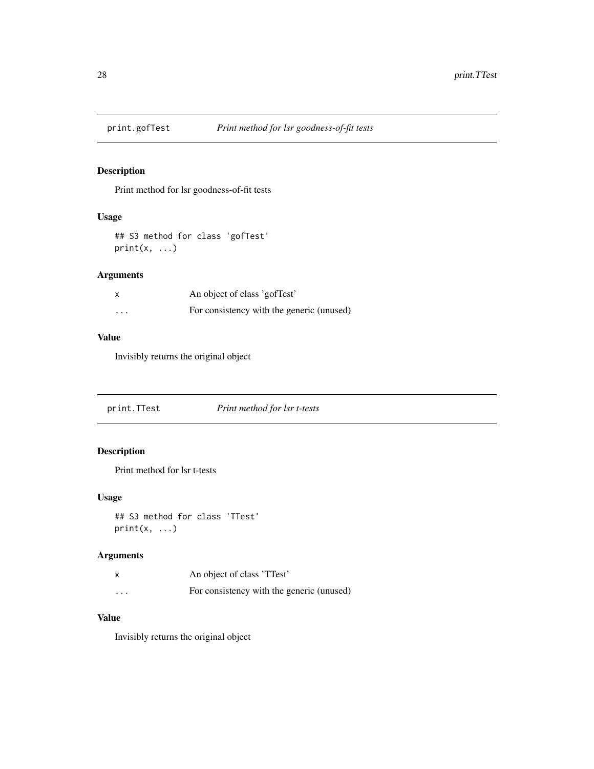<span id="page-27-0"></span>

# Description

Print method for lsr goodness-of-fit tests

# Usage

```
## S3 method for class 'gofTest'
print(x, \ldots)
```
# Arguments

| X        | An object of class 'gofTest'              |
|----------|-------------------------------------------|
| $\cdots$ | For consistency with the generic (unused) |

# Value

Invisibly returns the original object

print.TTest *Print method for lsr t-tests*

# Description

Print method for lsr t-tests

## Usage

```
## S3 method for class 'TTest'
print(x, \ldots)
```
# Arguments

|          | An object of class 'TTest'                |
|----------|-------------------------------------------|
| $\cdots$ | For consistency with the generic (unused) |

## Value

Invisibly returns the original object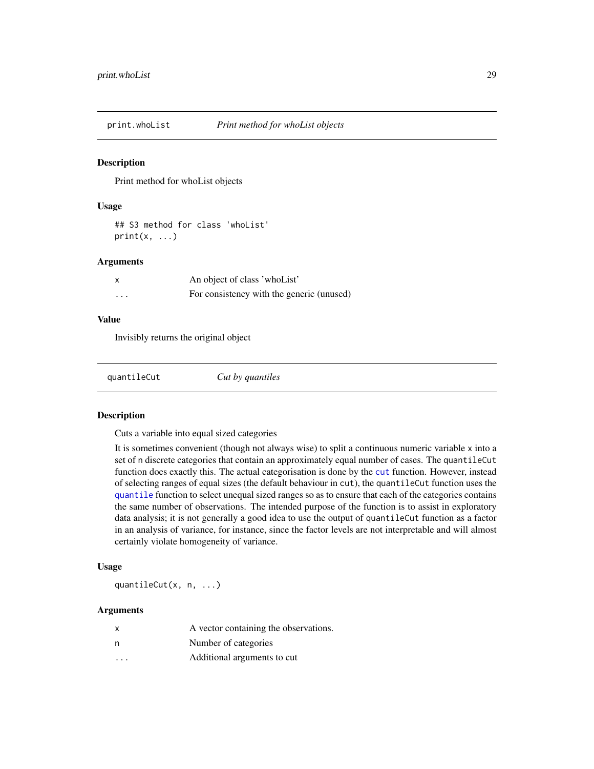<span id="page-28-0"></span>

#### Description

Print method for whoList objects

#### Usage

## S3 method for class 'whoList'  $print(x, \ldots)$ 

#### Arguments

|   | An object of class 'who List'             |
|---|-------------------------------------------|
| . | For consistency with the generic (unused) |

#### Value

Invisibly returns the original object

| Cut by quantiles |  |
|------------------|--|
|------------------|--|

#### Description

Cuts a variable into equal sized categories

It is sometimes convenient (though not always wise) to split a continuous numeric variable x into a set of n discrete categories that contain an approximately equal number of cases. The quantileCut function does exactly this. The actual categorisation is done by the [cut](#page-0-0) function. However, instead of selecting ranges of equal sizes (the default behaviour in cut), the quantileCut function uses the [quantile](#page-0-0) function to select unequal sized ranges so as to ensure that each of the categories contains the same number of observations. The intended purpose of the function is to assist in exploratory data analysis; it is not generally a good idea to use the output of quantileCut function as a factor in an analysis of variance, for instance, since the factor levels are not interpretable and will almost certainly violate homogeneity of variance.

#### Usage

quantileCut(x, n, ...)

#### Arguments

| $\mathsf{x}$            | A vector containing the observations. |
|-------------------------|---------------------------------------|
| n                       | Number of categories                  |
| $\cdot$ $\cdot$ $\cdot$ | Additional arguments to cut           |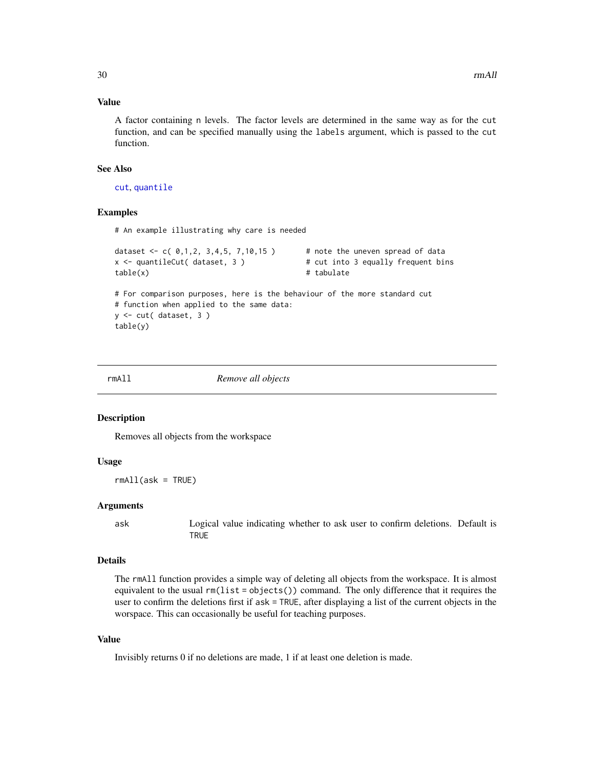# <span id="page-29-0"></span>Value

A factor containing n levels. The factor levels are determined in the same way as for the cut function, and can be specified manually using the labels argument, which is passed to the cut function.

#### See Also

[cut](#page-0-0), [quantile](#page-0-0)

### Examples

# An example illustrating why care is needed

```
dataset \leq c( 0,1,2, 3,4,5, 7,10,15 ) # note the uneven spread of data
x <- quantileCut( dataset, 3 ) # cut into 3 equally frequent bins
table(x) # tabulate
# For comparison purposes, here is the behaviour of the more standard cut
# function when applied to the same data:
y <- cut( dataset, 3 )
table(y)
```
rmAll *Remove all objects*

#### Description

Removes all objects from the workspace

#### Usage

 $rmAll(ask = TRUE)$ 

#### Arguments

ask Logical value indicating whether to ask user to confirm deletions. Default is **TRUE** 

#### Details

The rmAll function provides a simple way of deleting all objects from the workspace. It is almost equivalent to the usual  $rm(iist = objects())$  command. The only difference that it requires the user to confirm the deletions first if ask = TRUE, after displaying a list of the current objects in the worspace. This can occasionally be useful for teaching purposes.

#### Value

Invisibly returns 0 if no deletions are made, 1 if at least one deletion is made.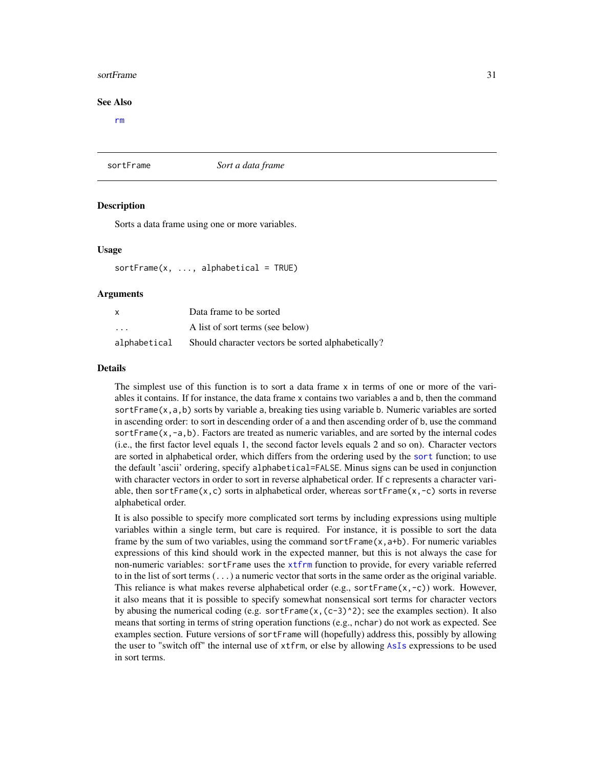#### <span id="page-30-0"></span>sortFrame 31

#### See Also

[rm](#page-0-0)

sortFrame *Sort a data frame*

#### **Description**

Sorts a data frame using one or more variables.

#### Usage

 $sortFrame(x, ..., alphabetical = TRUE)$ 

#### Arguments

| $\boldsymbol{\mathsf{x}}$ | Data frame to be sorted                            |
|---------------------------|----------------------------------------------------|
| $\cdot$ $\cdot$ $\cdot$   | A list of sort terms (see below)                   |
| alphabetical              | Should character vectors be sorted alphabetically? |

#### Details

The simplest use of this function is to sort a data frame x in terms of one or more of the variables it contains. If for instance, the data frame x contains two variables a and b, then the command sortFrame(x,a,b) sorts by variable a, breaking ties using variable b. Numeric variables are sorted in ascending order: to sort in descending order of a and then ascending order of b, use the command sortFrame $(x,-a,b)$ . Factors are treated as numeric variables, and are sorted by the internal codes (i.e., the first factor level equals 1, the second factor levels equals 2 and so on). Character vectors are sorted in alphabetical order, which differs from the ordering used by the [sort](#page-0-0) function; to use the default 'ascii' ordering, specify alphabetical=FALSE. Minus signs can be used in conjunction with character vectors in order to sort in reverse alphabetical order. If c represents a character variable, then sortFrame(x,c) sorts in alphabetical order, whereas sortFrame(x, $-c$ ) sorts in reverse alphabetical order.

It is also possible to specify more complicated sort terms by including expressions using multiple variables within a single term, but care is required. For instance, it is possible to sort the data frame by the sum of two variables, using the command sortFrame $(x, a+b)$ . For numeric variables expressions of this kind should work in the expected manner, but this is not always the case for non-numeric variables: sortFrame uses the [xtfrm](#page-0-0) function to provide, for every variable referred to in the list of sort terms  $(\ldots)$  a numeric vector that sorts in the same order as the original variable. This reliance is what makes reverse alphabetical order (e.g., sortFrame(x,-c)) work. However, it also means that it is possible to specify somewhat nonsensical sort terms for character vectors by abusing the numerical coding (e.g. sortFrame(x,(c-3)^2); see the examples section). It also means that sorting in terms of string operation functions (e.g., nchar) do not work as expected. See examples section. Future versions of sortFrame will (hopefully) address this, possibly by allowing the user to "switch off" the internal use of xtfrm, or else by allowing [AsIs](#page-0-0) expressions to be used in sort terms.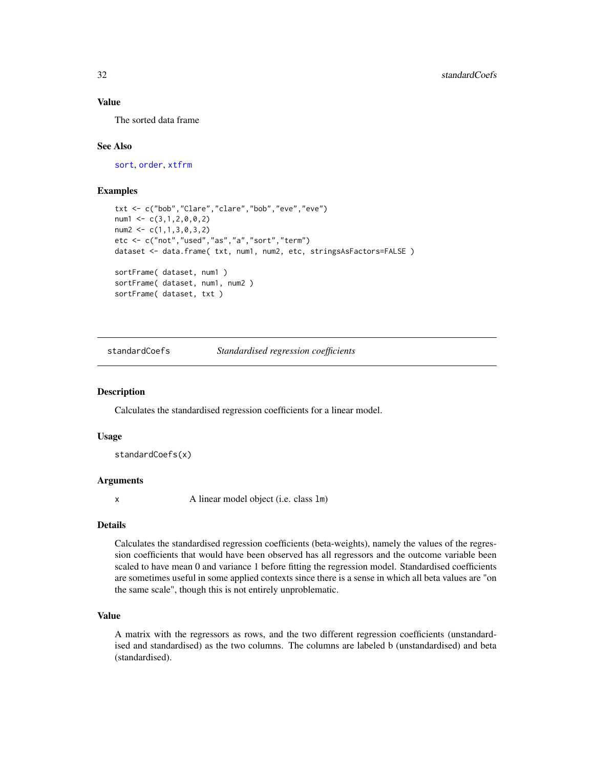# <span id="page-31-0"></span>Value

The sorted data frame

#### See Also

[sort](#page-0-0), [order](#page-0-0), [xtfrm](#page-0-0)

#### Examples

```
txt <- c("bob","Clare","clare","bob","eve","eve")
num1 <- c(3,1,2,0,0,2)
num2 < -c(1,1,3,0,3,2)etc <- c("not","used","as","a","sort","term")
dataset <- data.frame( txt, num1, num2, etc, stringsAsFactors=FALSE )
sortFrame( dataset, num1 )
sortFrame( dataset, num1, num2 )
sortFrame( dataset, txt )
```
standardCoefs *Standardised regression coefficients*

#### Description

Calculates the standardised regression coefficients for a linear model.

#### Usage

standardCoefs(x)

#### Arguments

x A linear model object (i.e. class lm)

#### Details

Calculates the standardised regression coefficients (beta-weights), namely the values of the regression coefficients that would have been observed has all regressors and the outcome variable been scaled to have mean 0 and variance 1 before fitting the regression model. Standardised coefficients are sometimes useful in some applied contexts since there is a sense in which all beta values are "on the same scale", though this is not entirely unproblematic.

### Value

A matrix with the regressors as rows, and the two different regression coefficients (unstandardised and standardised) as the two columns. The columns are labeled b (unstandardised) and beta (standardised).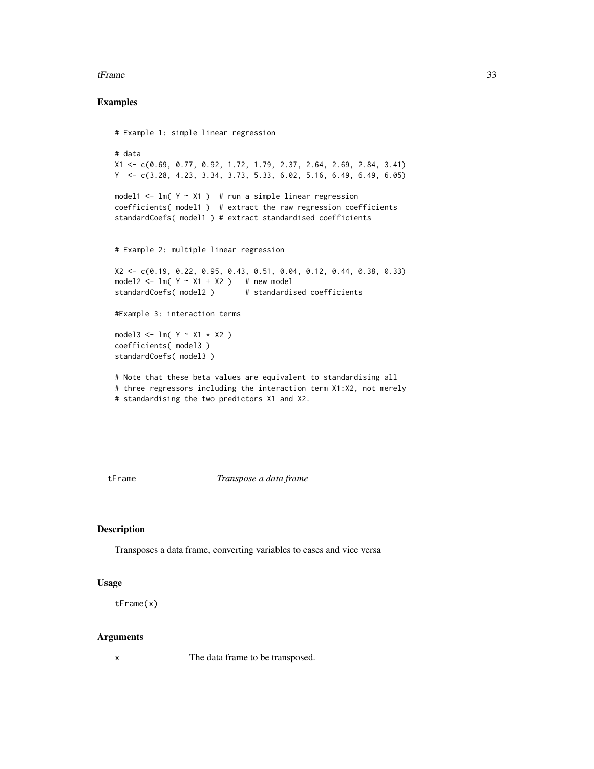#### <span id="page-32-0"></span>tFrame 33

### Examples

```
# Example 1: simple linear regression
# data
X1 <- c(0.69, 0.77, 0.92, 1.72, 1.79, 2.37, 2.64, 2.69, 2.84, 3.41)
Y <- c(3.28, 4.23, 3.34, 3.73, 5.33, 6.02, 5.16, 6.49, 6.49, 6.05)
model1 <- lm( Y \sim X1 ) # run a simple linear regression
coefficients( model1 ) # extract the raw regression coefficients
standardCoefs( model1 ) # extract standardised coefficients
# Example 2: multiple linear regression
X2 <- c(0.19, 0.22, 0.95, 0.43, 0.51, 0.04, 0.12, 0.44, 0.38, 0.33)
model2 <- lm( Y ~ X1 ~ + ~ X2 ) # new model
standardCoefs(model2) # standardised coefficients
#Example 3: interaction terms
model3 <- lm( Y ~ X1 * X2 )coefficients( model3 )
standardCoefs( model3 )
# Note that these beta values are equivalent to standardising all
# three regressors including the interaction term X1:X2, not merely
# standardising the two predictors X1 and X2.
```
tFrame *Transpose a data frame*

#### Description

Transposes a data frame, converting variables to cases and vice versa

# Usage

tFrame(x)

#### Arguments

x The data frame to be transposed.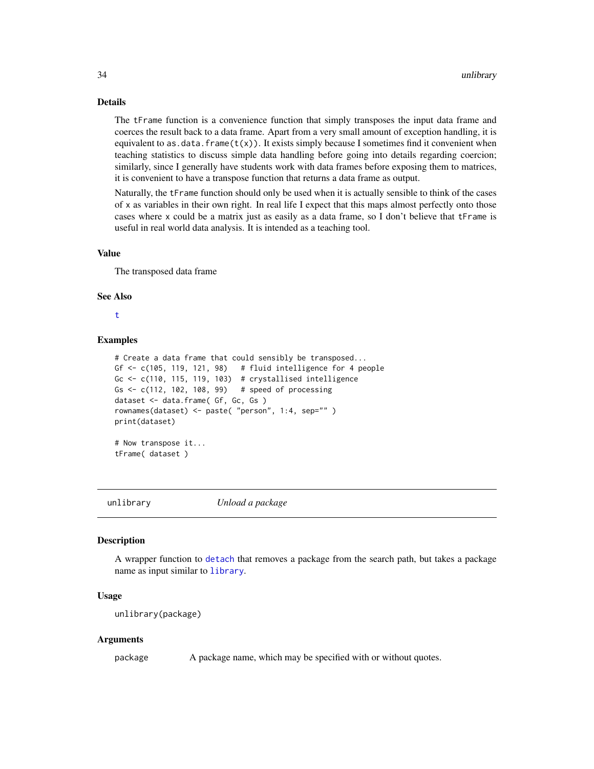#### <span id="page-33-0"></span>Details

The tFrame function is a convenience function that simply transposes the input data frame and coerces the result back to a data frame. Apart from a very small amount of exception handling, it is equivalent to as.data.frame $(t(x))$ . It exists simply because I sometimes find it convenient when teaching statistics to discuss simple data handling before going into details regarding coercion; similarly, since I generally have students work with data frames before exposing them to matrices, it is convenient to have a transpose function that returns a data frame as output.

Naturally, the tFrame function should only be used when it is actually sensible to think of the cases of x as variables in their own right. In real life I expect that this maps almost perfectly onto those cases where x could be a matrix just as easily as a data frame, so I don't believe that tFrame is useful in real world data analysis. It is intended as a teaching tool.

#### Value

The transposed data frame

#### See Also

#### [t](#page-0-0)

#### Examples

```
# Create a data frame that could sensibly be transposed...
Gf \le c(105, 119, 121, 98) # fluid intelligence for 4 people
Gc \leq c(110, 115, 119, 103) # crystallised intelligence
Gs <- c(112, 102, 108, 99) # speed of processing
dataset <- data.frame( Gf, Gc, Gs )
rownames(dataset) <- paste( "person", 1:4, sep="" )
print(dataset)
```
# Now transpose it... tFrame( dataset )

unlibrary *Unload a package*

#### **Description**

A wrapper function to [detach](#page-0-0) that removes a package from the search path, but takes a package name as input similar to [library](#page-0-0).

#### Usage

```
unlibrary(package)
```
#### Arguments

package A package name, which may be specified with or without quotes.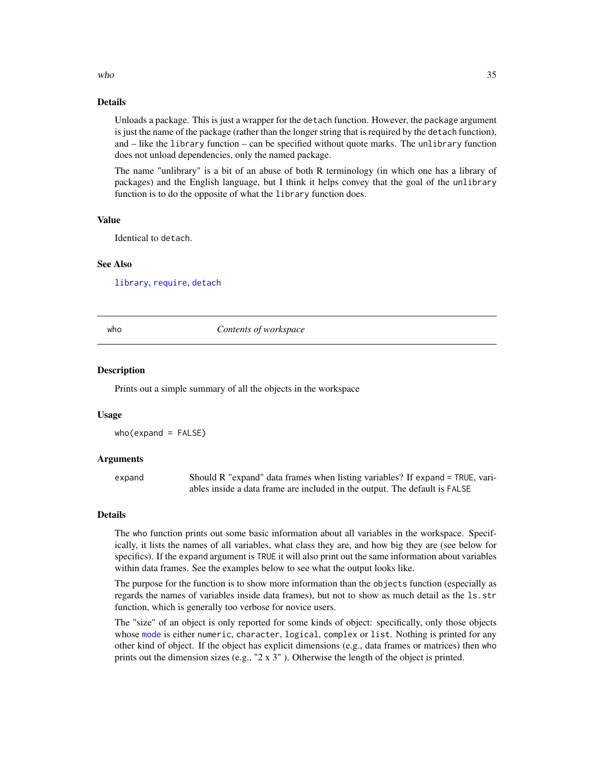#### <span id="page-34-0"></span> $\mu$  and  $\sigma$  35

# Details

Unloads a package. This is just a wrapper for the detach function. However, the package argument is just the name of the package (rather than the longer string that is required by the detach function), and – like the library function – can be specified without quote marks. The unlibrary function does not unload dependencies, only the named package.

The name "unlibrary" is a bit of an abuse of both R terminology (in which one has a library of packages) and the English language, but I think it helps convey that the goal of the unlibrary function is to do the opposite of what the library function does.

# Value

Identical to detach.

#### See Also

[library](#page-0-0), [require](#page-0-0), [detach](#page-0-0)

#### who *Contents of workspace*

#### Description

Prints out a simple summary of all the objects in the workspace

#### Usage

who(expand = FALSE)

### Arguments

expand Should R "expand" data frames when listing variables? If expand = TRUE, variables inside a data frame are included in the output. The default is FALSE

#### Details

The who function prints out some basic information about all variables in the workspace. Specifically, it lists the names of all variables, what class they are, and how big they are (see below for specifics). If the expand argument is TRUE it will also print out the same information about variables within data frames. See the examples below to see what the output looks like.

The purpose for the function is to show more information than the objects function (especially as regards the names of variables inside data frames), but not to show as much detail as the ls.str function, which is generally too verbose for novice users.

The "size" of an object is only reported for some kinds of object: specifically, only those objects whose [mode](#page-19-1) is either numeric, character, logical, complex or list. Nothing is printed for any other kind of object. If the object has explicit dimensions (e.g., data frames or matrices) then who prints out the dimension sizes (e.g., "2 x 3"). Otherwise the length of the object is printed.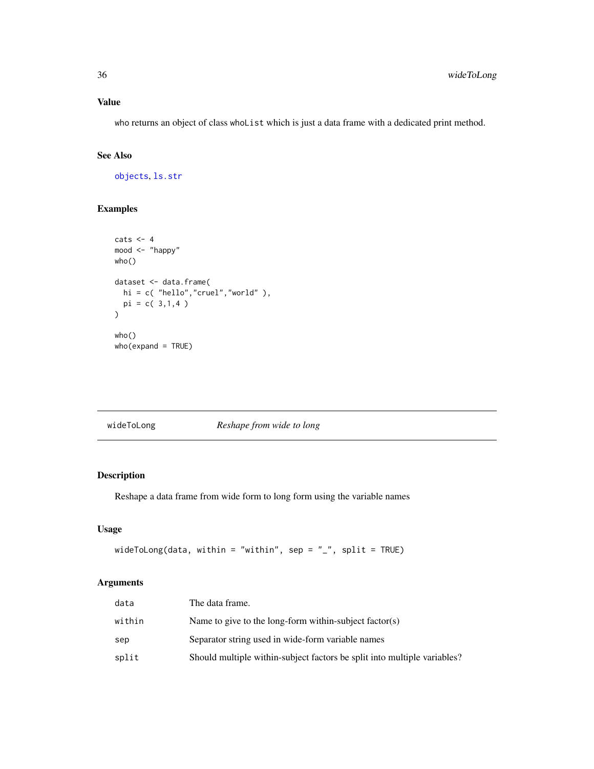# Value

who returns an object of class whoList which is just a data frame with a dedicated print method.

# See Also

[objects](#page-0-0), [ls.str](#page-0-0)

# Examples

```
\text{cats} \leftarrow 4mood <- "happy"
who()
dataset <- data.frame(
  hi = c( "hello","cruel","world" ),
  pi = c( 3,1,4 )
\mathcal{L}who()
who(expand = TRUE)
```
<span id="page-35-1"></span>

| wideToLong | Reshape from wide to long |
|------------|---------------------------|
|            |                           |

# Description

Reshape a data frame from wide form to long form using the variable names

# Usage

```
wideToLong(data, within = "within", sep = "_", split = TRUE)
```
## Arguments

| data   | The data frame.                                                          |
|--------|--------------------------------------------------------------------------|
| within | Name to give to the long-form within-subject factor(s)                   |
| sep    | Separator string used in wide-form variable names                        |
| split  | Should multiple within-subject factors be split into multiple variables? |

<span id="page-35-0"></span>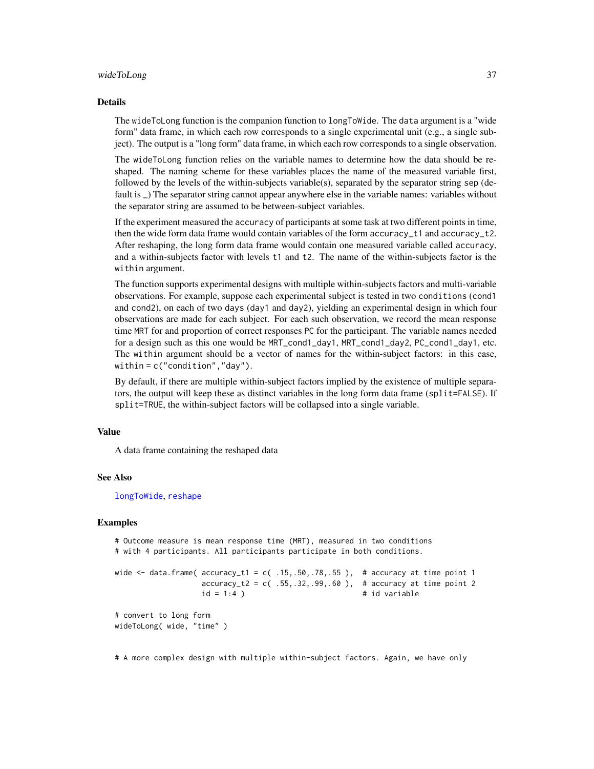#### <span id="page-36-0"></span>wideToLong 37

#### Details

The wideToLong function is the companion function to longToWide. The data argument is a "wide form" data frame, in which each row corresponds to a single experimental unit (e.g., a single subject). The output is a "long form" data frame, in which each row corresponds to a single observation.

The wideToLong function relies on the variable names to determine how the data should be reshaped. The naming scheme for these variables places the name of the measured variable first, followed by the levels of the within-subjects variable(s), separated by the separator string sep (default is \_) The separator string cannot appear anywhere else in the variable names: variables without the separator string are assumed to be between-subject variables.

If the experiment measured the accuracy of participants at some task at two different points in time, then the wide form data frame would contain variables of the form accuracy\_t1 and accuracy\_t2. After reshaping, the long form data frame would contain one measured variable called accuracy, and a within-subjects factor with levels t1 and t2. The name of the within-subjects factor is the within argument.

The function supports experimental designs with multiple within-subjects factors and multi-variable observations. For example, suppose each experimental subject is tested in two conditions (cond1 and cond2), on each of two days (day1 and day2), yielding an experimental design in which four observations are made for each subject. For each such observation, we record the mean response time MRT for and proportion of correct responses PC for the participant. The variable names needed for a design such as this one would be MRT\_cond1\_day1, MRT\_cond1\_day2, PC\_cond1\_day1, etc. The within argument should be a vector of names for the within-subject factors: in this case, within = c("condition","day").

By default, if there are multiple within-subject factors implied by the existence of multiple separators, the output will keep these as distinct variables in the long form data frame (split=FALSE). If split=TRUE, the within-subject factors will be collapsed into a single variable.

# Value

A data frame containing the reshaped data

#### See Also

[longToWide](#page-18-1), [reshape](#page-0-0)

#### Examples

```
# Outcome measure is mean response time (MRT), measured in two conditions
# with 4 participants. All participants participate in both conditions.
```

```
wide \le data.frame( accuracy_t1 = c( .15, .50, .78, .55), # accuracy at time point 1
                  accuracy_t2 = c(.55,.32,.99,.60), # accuracy at time point 2
                  id = 1:4 ) \qquad \qquad # id variable# convert to long form
```
wideToLong( wide, "time" )

# A more complex design with multiple within-subject factors. Again, we have only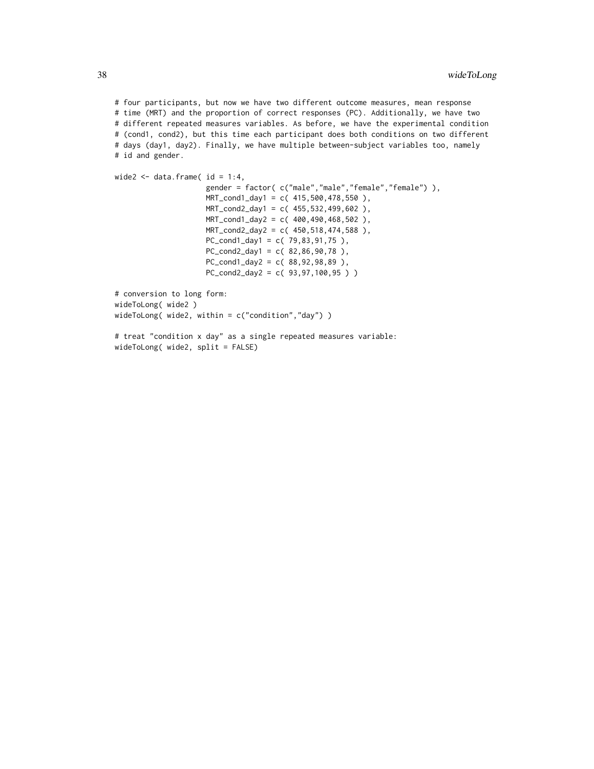# four participants, but now we have two different outcome measures, mean response # time (MRT) and the proportion of correct responses (PC). Additionally, we have two # different repeated measures variables. As before, we have the experimental condition # (cond1, cond2), but this time each participant does both conditions on two different # days (day1, day2). Finally, we have multiple between-subject variables too, namely # id and gender.

```
wide2 \leq data.frame( id = 1:4,
                     gender = factor( c("male","male","female","female") ),
                     MRT_cond1_day1 = c( 415,500,478,550 ),
                     MRT_cond2_day1 = c( 455,532,499,602 ),
                     MRT_cond1_day2 = c( 400,490,468,502 ),
                     MRT_cond2_day2 = c( 450,518,474,588 ),
                     PC_{cond1_day1} = c(79,83,91,75),
                     PC_{cond2-day1} = c(82,86,90,78),
                     PC_{cond1_day2} = c(88,92,98,89),
                     PC_cond2_day2 = c( 93,97,100,95 ) )
# conversion to long form:
wideToLong( wide2 )
wideToLong( wide2, within = c("condition","day") )
```

```
# treat "condition x day" as a single repeated measures variable:
wideToLong( wide2, split = FALSE)
```